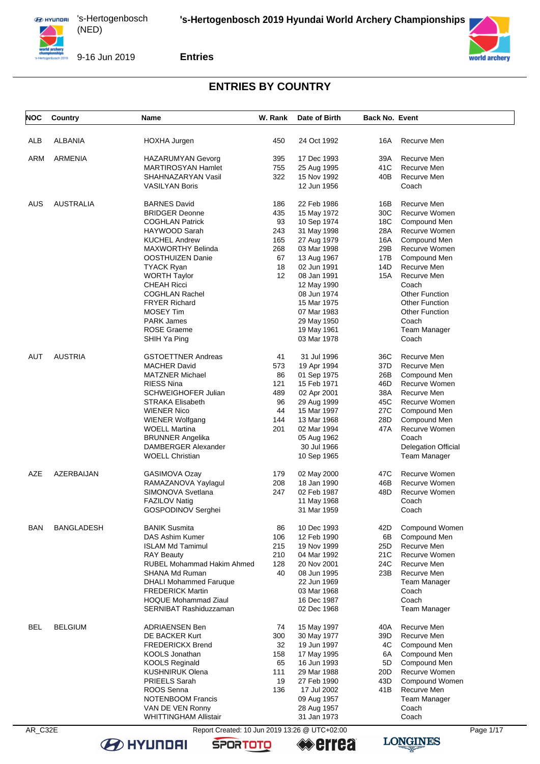



9-16 Jun 2019

**Entries**

## **ENTRIES BY COUNTRY**

| NOC        | Country          | Name                                          | W. Rank | Date of Birth | <b>Back No. Event</b> |                            |           |
|------------|------------------|-----------------------------------------------|---------|---------------|-----------------------|----------------------------|-----------|
| ALB        | ALBANIA          | HOXHA Jurgen                                  | 450     | 24 Oct 1992   | 16A                   | Recurve Men                |           |
|            |                  |                                               |         |               |                       |                            |           |
| <b>ARM</b> | <b>ARMENIA</b>   | <b>HAZARUMYAN Gevorg</b>                      | 395     | 17 Dec 1993   | 39A                   | Recurve Men                |           |
|            |                  | <b>MARTIROSYAN Hamlet</b>                     | 755     | 25 Aug 1995   | 41C                   | Recurve Men                |           |
|            |                  | SHAHNAZARYAN Vasil                            | 322     | 15 Nov 1992   | 40B                   | Recurve Men                |           |
|            |                  | <b>VASILYAN Boris</b>                         |         | 12 Jun 1956   |                       | Coach                      |           |
| AUS        | <b>AUSTRALIA</b> | <b>BARNES David</b>                           | 186     | 22 Feb 1986   | 16B                   | Recurve Men                |           |
|            |                  | <b>BRIDGER Deonne</b>                         | 435     | 15 May 1972   | 30C                   | Recurve Women              |           |
|            |                  | <b>COGHLAN Patrick</b>                        | 93      | 10 Sep 1974   | 18C                   | Compound Men               |           |
|            |                  | HAYWOOD Sarah                                 | 243     | 31 May 1998   | 28A                   | Recurve Women              |           |
|            |                  | <b>KUCHEL Andrew</b>                          | 165     | 27 Aug 1979   | 16A                   | Compound Men               |           |
|            |                  | MAXWORTHY Belinda                             | 268     | 03 Mar 1998   | 29B                   | Recurve Women              |           |
|            |                  | OOSTHUIZEN Danie                              | 67      | 13 Aug 1967   | 17B                   | Compound Men               |           |
|            |                  | <b>TYACK Ryan</b>                             | 18      | 02 Jun 1991   | 14D                   | Recurve Men                |           |
|            |                  | <b>WORTH Taylor</b>                           | 12      | 08 Jan 1991   | 15A                   | Recurve Men                |           |
|            |                  | <b>CHEAH Ricci</b>                            |         | 12 May 1990   |                       | Coach                      |           |
|            |                  | <b>COGHLAN Rachel</b>                         |         | 08 Jun 1974   |                       | <b>Other Function</b>      |           |
|            |                  | <b>FRYER Richard</b>                          |         | 15 Mar 1975   |                       | <b>Other Function</b>      |           |
|            |                  |                                               |         |               |                       |                            |           |
|            |                  | <b>MOSEY Tim</b>                              |         | 07 Mar 1983   |                       | <b>Other Function</b>      |           |
|            |                  | <b>PARK James</b>                             |         | 29 May 1950   |                       | Coach                      |           |
|            |                  | <b>ROSE Graeme</b>                            |         | 19 May 1961   |                       | Team Manager               |           |
|            |                  | SHIH Ya Ping                                  |         | 03 Mar 1978   |                       | Coach                      |           |
| AUT        | <b>AUSTRIA</b>   | <b>GSTOETTNER Andreas</b>                     | 41      | 31 Jul 1996   | 36C                   | Recurve Men                |           |
|            |                  | <b>MACHER David</b>                           | 573     | 19 Apr 1994   | 37D                   | Recurve Men                |           |
|            |                  | <b>MATZNER Michael</b>                        | 86      | 01 Sep 1975   | 26B                   | Compound Men               |           |
|            |                  | <b>RIESS Nina</b>                             | 121     | 15 Feb 1971   | 46D                   | Recurve Women              |           |
|            |                  | <b>SCHWEIGHOFER Julian</b>                    | 489     | 02 Apr 2001   | 38A                   | Recurve Men                |           |
|            |                  | STRAKA Elisabeth                              | 96      | 29 Aug 1999   | 45C                   | Recurve Women              |           |
|            |                  | <b>WIENER Nico</b>                            | 44      | 15 Mar 1997   | 27C                   | Compound Men               |           |
|            |                  | <b>WIENER Wolfgang</b>                        | 144     | 13 Mar 1968   | 28D                   | Compound Men               |           |
|            |                  | <b>WOELL Martina</b>                          | 201     | 02 Mar 1994   | 47A                   | Recurve Women              |           |
|            |                  | <b>BRUNNER Angelika</b>                       |         | 05 Aug 1962   |                       | Coach                      |           |
|            |                  | DAMBERGER Alexander                           |         | 30 Jul 1966   |                       | <b>Delegation Official</b> |           |
|            |                  | <b>WOELL Christian</b>                        |         | 10 Sep 1965   |                       | <b>Team Manager</b>        |           |
|            |                  |                                               |         |               |                       |                            |           |
| AZE        | AZERBAIJAN       | GASIMOVA Ozay                                 | 179     | 02 May 2000   | 47C                   | Recurve Women              |           |
|            |                  | RAMAZANOVA Yaylagul                           | 208     | 18 Jan 1990   | 46B                   | Recurve Women              |           |
|            |                  | SIMONOVA Svetlana                             | 247     | 02 Feb 1987   | 48D                   | Recurve Women              |           |
|            |                  | <b>FAZILOV Natig</b>                          |         | 11 May 1968   |                       | Coach                      |           |
|            |                  | GOSPODINOV Serghei                            |         | 31 Mar 1959   |                       | Coach                      |           |
| <b>BAN</b> | BANGLADESH       | <b>BANIK Susmita</b>                          | 86      | 10 Dec 1993   | 42D                   | Compound Women             |           |
|            |                  | <b>DAS Ashim Kumer</b>                        | 106     | 12 Feb 1990   | 6B                    | Compound Men               |           |
|            |                  | <b>ISLAM Md Tamimul</b>                       | 215     | 19 Nov 1999   | 25D                   | Recurve Men                |           |
|            |                  | <b>RAY Beauty</b>                             | 210     | 04 Mar 1992   | 21C                   | Recurve Women              |           |
|            |                  | <b>RUBEL Mohammad Hakim Ahmed</b>             | 128     | 20 Nov 2001   | 24C                   | Recurve Men                |           |
|            |                  | <b>SHANA Md Ruman</b>                         | 40      | 08 Jun 1995   | 23B                   | Recurve Men                |           |
|            |                  | <b>DHALI Mohammed Faruque</b>                 |         | 22 Jun 1969   |                       | Team Manager               |           |
|            |                  | <b>FREDERICK Martin</b>                       |         | 03 Mar 1968   |                       | Coach                      |           |
|            |                  | <b>HOQUE Mohammad Ziaul</b>                   |         | 16 Dec 1987   |                       | Coach                      |           |
|            |                  | SERNIBAT Rashiduzzaman                        |         | 02 Dec 1968   |                       | Team Manager               |           |
|            |                  |                                               |         |               |                       |                            |           |
| BEL        | <b>BELGIUM</b>   | <b>ADRIAENSEN Ben</b>                         | 74      | 15 May 1997   | 40A                   | Recurve Men<br>Recurve Men |           |
|            |                  | DE BACKER Kurt                                | 300     | 30 May 1977   | 39D                   |                            |           |
|            |                  | <b>FREDERICKX Brend</b>                       | 32      | 19 Jun 1997   | 4C                    | Compound Men               |           |
|            |                  | <b>KOOLS Jonathan</b>                         | 158     | 17 May 1995   | 6A                    | Compound Men               |           |
|            |                  | <b>KOOLS Reginald</b>                         | 65      | 16 Jun 1993   | 5D                    | Compound Men               |           |
|            |                  | <b>KUSHNIRUK Olena</b>                        | 111     | 29 Mar 1988   | 20D                   | Recurve Women              |           |
|            |                  | PRIEELS Sarah                                 | 19      | 27 Feb 1990   | 43D                   | Compound Women             |           |
|            |                  | ROOS Senna                                    | 136     | 17 Jul 2002   | 41 B                  | Recurve Men                |           |
|            |                  | <b>NOTENBOOM Francis</b>                      |         | 09 Aug 1957   |                       | Team Manager               |           |
|            |                  | VAN DE VEN Ronny                              |         | 28 Aug 1957   |                       | Coach                      |           |
|            |                  | <b>WHITTINGHAM Allistair</b>                  |         | 31 Jan 1973   |                       | Coach                      |           |
| AR_C32E    |                  | Report Created: 10 Jun 2019 13:26 @ UTC+02:00 |         |               |                       |                            | Page 1/17 |

**B** HYUNDAI

**SPORTOTO** 

**LONGINES errea** 

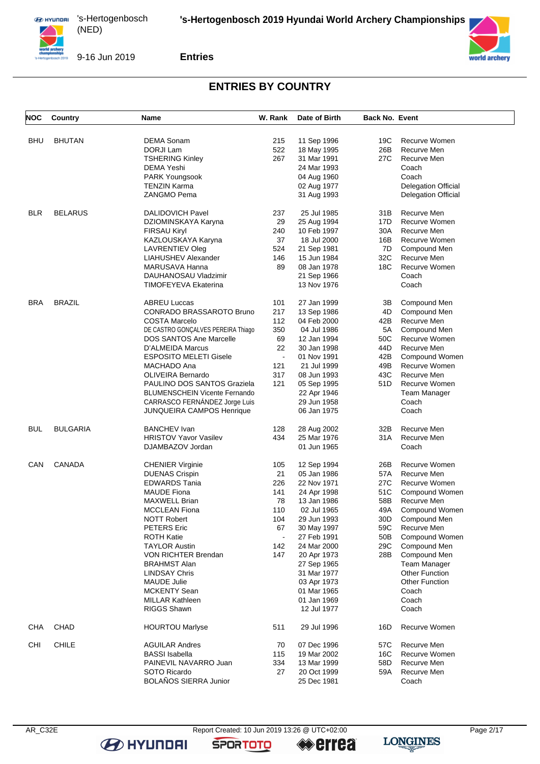



9-16 Jun 2019

**Entries**

# **ENTRIES BY COUNTRY**

| <b>NOC</b> | Country         | Name                                 | W. Rank        | Date of Birth | <b>Back No. Event</b> |                            |
|------------|-----------------|--------------------------------------|----------------|---------------|-----------------------|----------------------------|
| BHU        | <b>BHUTAN</b>   | <b>DEMA Sonam</b>                    | 215            | 11 Sep 1996   | 19C                   | Recurve Women              |
|            |                 | DORJI Lam                            | 522            | 18 May 1995   | 26B                   | Recurve Men                |
|            |                 |                                      |                |               |                       |                            |
|            |                 | <b>TSHERING Kinley</b>               | 267            | 31 Mar 1991   | 27C                   | Recurve Men                |
|            |                 | DEMA Yeshi                           |                | 24 Mar 1993   |                       | Coach                      |
|            |                 | PARK Youngsook                       |                | 04 Aug 1960   |                       | Coach                      |
|            |                 | TENZIN Karma                         |                | 02 Aug 1977   |                       | <b>Delegation Official</b> |
|            |                 | ZANGMO Pema                          |                | 31 Aug 1993   |                       | <b>Delegation Official</b> |
| <b>BLR</b> | <b>BELARUS</b>  | <b>DALIDOVICH Pavel</b>              | 237            | 25 Jul 1985   | 31 B                  | Recurve Men                |
|            |                 | DZIOMINSKAYA Karyna                  | 29             | 25 Aug 1994   | 17D                   | Recurve Women              |
|            |                 | <b>FIRSAU Kiryl</b>                  | 240            | 10 Feb 1997   | 30A                   | Recurve Men                |
|            |                 | KAZLOUSKAYA Karyna                   | 37             | 18 Jul 2000   | 16B                   | Recurve Women              |
|            |                 | LAVRENTIEV Oleg                      | 524            | 21 Sep 1981   | 7D                    | Compound Men               |
|            |                 | LIAHUSHEV Alexander                  | 146            | 15 Jun 1984   | 32C                   | Recurve Men                |
|            |                 | MARUSAVA Hanna                       | 89             | 08 Jan 1978   | 18C                   | Recurve Women              |
|            |                 | DAUHANOSAU Vladzimir                 |                | 21 Sep 1966   |                       | Coach                      |
|            |                 | TIMOFEYEVA Ekaterina                 |                | 13 Nov 1976   |                       | Coach                      |
| BRA        | <b>BRAZIL</b>   | <b>ABREU Luccas</b>                  | 101            | 27 Jan 1999   | 3В                    | Compound Men               |
|            |                 | CONRADO BRASSAROTO Bruno             | 217            |               | 4D                    |                            |
|            |                 |                                      |                | 13 Sep 1986   |                       | Compound Men               |
|            |                 | <b>COSTA Marcelo</b>                 | 112            | 04 Feb 2000   | 42B                   | Recurve Men                |
|            |                 | DE CASTRO GONÇALVES PEREIRA Thiago   | 350            | 04 Jul 1986   | 5A                    | Compound Men               |
|            |                 | <b>DOS SANTOS Ane Marcelle</b>       | 69             | 12 Jan 1994   | 50C                   | Recurve Women              |
|            |                 | D'ALMEIDA Marcus                     | 22             | 30 Jan 1998   | 44D                   | Recurve Men                |
|            |                 | <b>ESPOSITO MELETI Gisele</b>        | $\blacksquare$ | 01 Nov 1991   | 42B                   | Compound Women             |
|            |                 | MACHADO Ana                          | 121            | 21 Jul 1999   | 49B                   | Recurve Women              |
|            |                 | <b>OLIVEIRA Bernardo</b>             | 317            | 08 Jun 1993   | 43C                   | Recurve Men                |
|            |                 | PAULINO DOS SANTOS Graziela          | 121            | 05 Sep 1995   | 51D                   | Recurve Women              |
|            |                 | <b>BLUMENSCHEIN Vicente Fernando</b> |                | 22 Apr 1946   |                       | <b>Team Manager</b>        |
|            |                 | CARRASCO FERNANDEZ Jorge Luis        |                | 29 Jun 1958   |                       | Coach                      |
|            |                 | <b>JUNQUEIRA CAMPOS Henrique</b>     |                | 06 Jan 1975   |                       | Coach                      |
| <b>BUL</b> | <b>BULGARIA</b> | <b>BANCHEV</b> Ivan                  | 128            | 28 Aug 2002   | 32B                   | Recurve Men                |
|            |                 | <b>HRISTOV Yavor Vasilev</b>         | 434            | 25 Mar 1976   | 31 A                  | Recurve Men                |
|            |                 | DJAMBAZOV Jordan                     |                | 01 Jun 1965   |                       | Coach                      |
|            |                 |                                      |                |               |                       |                            |
| CAN        | <b>CANADA</b>   | <b>CHENIER Virginie</b>              | 105            | 12 Sep 1994   | 26B                   | Recurve Women              |
|            |                 | <b>DUENAS Crispin</b>                | 21             | 05 Jan 1986   | 57A                   | Recurve Men                |
|            |                 | <b>EDWARDS Tania</b>                 | 226            | 22 Nov 1971   | 27C                   | Recurve Women              |
|            |                 | <b>MAUDE Fiona</b>                   | 141            | 24 Apr 1998   | 51C                   | Compound Women             |
|            |                 | MAXWELL Brian                        | 78             | 13 Jan 1986   | 58B                   | Recurve Men                |
|            |                 | <b>MCCLEAN Fiona</b>                 | 110            | 02 Jul 1965   | 49A                   | Compound Women             |
|            |                 | NOTT Robert                          | 104            | 29 Jun 1993   | 30D                   | Compound Men               |
|            |                 | PETERS Eric                          | 67             | 30 May 1997   | 59C                   | Recurve Men                |
|            |                 | <b>ROTH Katie</b>                    | $\blacksquare$ | 27 Feb 1991   | 50B                   | Compound Women             |
|            |                 | <b>TAYLOR Austin</b>                 | 142            | 24 Mar 2000   | 29C                   | Compound Men               |
|            |                 | <b>VON RICHTER Brendan</b>           | 147            | 20 Apr 1973   | 28B                   | Compound Men               |
|            |                 | <b>BRAHMST Alan</b>                  |                | 27 Sep 1965   |                       | <b>Team Manager</b>        |
|            |                 | <b>LINDSAY Chris</b>                 |                | 31 Mar 1977   |                       | <b>Other Function</b>      |
|            |                 | <b>MAUDE Julie</b>                   |                | 03 Apr 1973   |                       | <b>Other Function</b>      |
|            |                 | <b>MCKENTY Sean</b>                  |                | 01 Mar 1965   |                       | Coach                      |
|            |                 | <b>MILLAR Kathleen</b>               |                | 01 Jan 1969   |                       | Coach                      |
|            |                 | <b>RIGGS Shawn</b>                   |                | 12 Jul 1977   |                       | Coach                      |
| CHA        | CHAD            | <b>HOURTOU Marlyse</b>               | 511            | 29 Jul 1996   | 16D                   | Recurve Women              |
| <b>CHI</b> | <b>CHILE</b>    | <b>AGUILAR Andres</b>                | 70             | 07 Dec 1996   | 57C                   | Recurve Men                |
|            |                 | <b>BASSI</b> Isabella                | 115            | 19 Mar 2002   | 16C                   | Recurve Women              |
|            |                 | PAINEVIL NAVARRO Juan                | 334            | 13 Mar 1999   | 58D                   | Recurve Men                |
|            |                 |                                      |                |               |                       |                            |
|            |                 | SOTO Ricardo                         | 27             | 20 Oct 1999   | 59A                   | Recurve Men                |
|            |                 | <b>BOLAÑOS SIERRA Junior</b>         |                | 25 Dec 1981   |                       | Coach                      |

**B** HYUNDAI



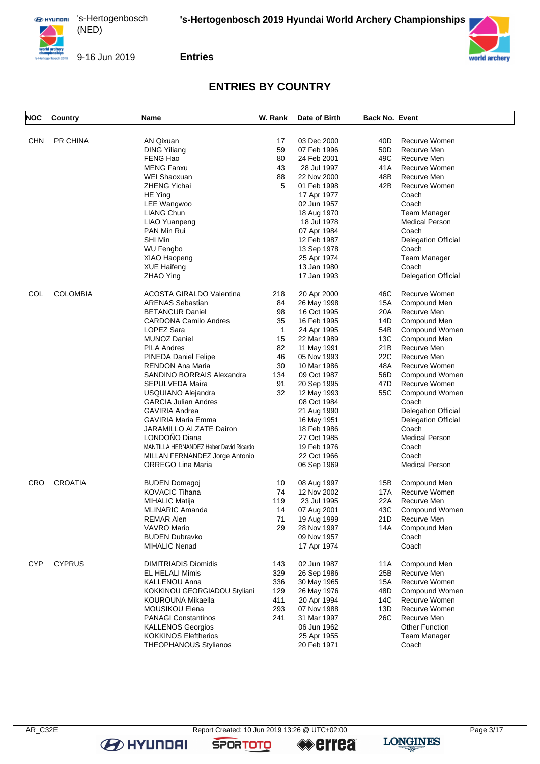

9-16 Jun 2019

**Entries**

## **ENTRIES BY COUNTRY**

| NOC        | Country         | Name                                   | W. Rank      | Date of Birth | <b>Back No. Event</b> |                            |
|------------|-----------------|----------------------------------------|--------------|---------------|-----------------------|----------------------------|
|            |                 |                                        |              |               |                       |                            |
| <b>CHN</b> | <b>PR CHINA</b> | <b>AN Qixuan</b>                       | 17           | 03 Dec 2000   | 40D                   | Recurve Women              |
|            |                 | <b>DING Yiliang</b>                    | 59           | 07 Feb 1996   | 50D                   | Recurve Men                |
|            |                 | FENG Hao                               | 80           | 24 Feb 2001   | 49C                   | Recurve Men                |
|            |                 | <b>MENG Fanxu</b>                      | 43           | 28 Jul 1997   | 41 A                  | Recurve Women              |
|            |                 | <b>WEI Shaoxuan</b>                    | 88           | 22 Nov 2000   | 48B                   | Recurve Men                |
|            |                 | ZHENG Yichai                           | 5            | 01 Feb 1998   | 42B                   | Recurve Women              |
|            |                 | HE Ying                                |              | 17 Apr 1977   |                       | Coach                      |
|            |                 | LEE Wangwoo                            |              | 02 Jun 1957   |                       | Coach                      |
|            |                 | LIANG Chun                             |              | 18 Aug 1970   |                       | <b>Team Manager</b>        |
|            |                 | LIAO Yuanpeng                          |              | 18 Jul 1978   |                       | <b>Medical Person</b>      |
|            |                 | PAN Min Rui                            |              | 07 Apr 1984   |                       | Coach                      |
|            |                 | SHI Min                                |              |               |                       |                            |
|            |                 |                                        |              | 12 Feb 1987   |                       | <b>Delegation Official</b> |
|            |                 | <b>WU Fengbo</b>                       |              | 13 Sep 1978   |                       | Coach                      |
|            |                 | XIAO Haopeng                           |              | 25 Apr 1974   |                       | Team Manager               |
|            |                 | <b>XUE Haifeng</b>                     |              | 13 Jan 1980   |                       | Coach                      |
|            |                 | ZHAO Ying                              |              | 17 Jan 1993   |                       | <b>Delegation Official</b> |
| COL        | <b>COLOMBIA</b> | ACOSTA GIRALDO Valentina               | 218          | 20 Apr 2000   | 46C                   | Recurve Women              |
|            |                 | <b>ARENAS Sebastian</b>                | 84           | 26 May 1998   | 15A                   | Compound Men               |
|            |                 | <b>BETANCUR Daniel</b>                 | 98           | 16 Oct 1995   | 20A                   | Recurve Men                |
|            |                 | <b>CARDONA Camilo Andres</b>           | 35           | 16 Feb 1995   | 14D                   | Compound Men               |
|            |                 | LOPEZ Sara                             | $\mathbf{1}$ | 24 Apr 1995   | 54B                   | Compound Women             |
|            |                 | <b>MUNOZ Daniel</b>                    | 15           | 22 Mar 1989   | 13C                   | Compound Men               |
|            |                 | <b>PILA Andres</b>                     | 82           | 11 May 1991   | 21B                   | Recurve Men                |
|            |                 | <b>PINEDA Daniel Felipe</b>            | 46           | 05 Nov 1993   | 22C                   | Recurve Men                |
|            |                 | <b>RENDON Ana Maria</b>                | 30           | 10 Mar 1986   | 48A                   | Recurve Women              |
|            |                 |                                        |              |               |                       |                            |
|            |                 | SANDINO BORRAIS Alexandra              | 134          | 09 Oct 1987   | 56D                   | Compound Women             |
|            |                 | SEPULVEDA Maira                        | 91           | 20 Sep 1995   | 47D                   | Recurve Women              |
|            |                 | USQUIANO Alejandra                     | 32           | 12 May 1993   | 55C                   | Compound Women             |
|            |                 | <b>GARCIA Julian Andres</b>            |              | 08 Oct 1984   |                       | Coach                      |
|            |                 | <b>GAVIRIA Andrea</b>                  |              | 21 Aug 1990   |                       | <b>Delegation Official</b> |
|            |                 | GAVIRIA Maria Emma                     |              | 16 May 1951   |                       | <b>Delegation Official</b> |
|            |                 | JARAMILLO ALZATE Dairon                |              | 18 Feb 1986   |                       | Coach                      |
|            |                 | LONDOÑO Diana                          |              | 27 Oct 1985   |                       | <b>Medical Person</b>      |
|            |                 | MANTILLA HERNANDEZ Heber David Ricardo |              | 19 Feb 1976   |                       | Coach                      |
|            |                 | MILLAN FERNANDEZ Jorge Antonio         |              | 22 Oct 1966   |                       | Coach                      |
|            |                 | ORREGO Lina Maria                      |              | 06 Sep 1969   |                       | <b>Medical Person</b>      |
| CRO        | <b>CROATIA</b>  | BUDEN Domagoj                          | 10           | 08 Aug 1997   | 15B                   | Compound Men               |
|            |                 | KOVACIC Tihana                         | 74           | 12 Nov 2002   | 17A                   | Recurve Women              |
|            |                 |                                        |              |               |                       |                            |
|            |                 | MIHALIC Matija                         | 119          | 23 Jul 1995   | 22A                   | Recurve Men                |
|            |                 | MLINARIC Amanda                        | 14           | 07 Aug 2001   | 43C                   | Compound Women             |
|            |                 | REMAR Alen                             | 71           | 19 Aug 1999   | 21D.                  | Recurve Men                |
|            |                 | VAVRO Mario                            | 29           | 28 Nov 1997   |                       | 14A Compound Men           |
|            |                 | <b>BUDEN Dubravko</b>                  |              | 09 Nov 1957   |                       | Coach                      |
|            |                 | MIHALIC Nenad                          |              | 17 Apr 1974   |                       | Coach                      |
| <b>CYP</b> | <b>CYPRUS</b>   | <b>DIMITRIADIS Diomidis</b>            | 143          | 02 Jun 1987   | 11A                   | Compound Men               |
|            |                 | EL HELALI Mimis                        | 329          | 26 Sep 1986   | 25B                   | Recurve Men                |
|            |                 | KALLENOU Anna                          | 336          | 30 May 1965   | 15A                   | Recurve Women              |
|            |                 | KOKKINOU GEORGIADOU Styliani           | 129          | 26 May 1976   | 48D                   | Compound Women             |
|            |                 | KOUROUNA Mikaella                      | 411          | 20 Apr 1994   | 14C                   | Recurve Women              |
|            |                 | <b>MOUSIKOU Elena</b>                  | 293          | 07 Nov 1988   | 13D                   | Recurve Women              |
|            |                 | <b>PANAGI Constantinos</b>             | 241          | 31 Mar 1997   | 26C                   | Recurve Men                |
|            |                 | <b>KALLENOS Georgios</b>               |              | 06 Jun 1962   |                       | <b>Other Function</b>      |
|            |                 | <b>KOKKINOS Eleftherios</b>            |              |               |                       | <b>Team Manager</b>        |
|            |                 |                                        |              | 25 Apr 1955   |                       |                            |
|            |                 | <b>THEOPHANOUS Stylianos</b>           |              | 20 Feb 1971   |                       | Coach                      |



**B** HYUNDAI

**SPORTOTO** 

**errea**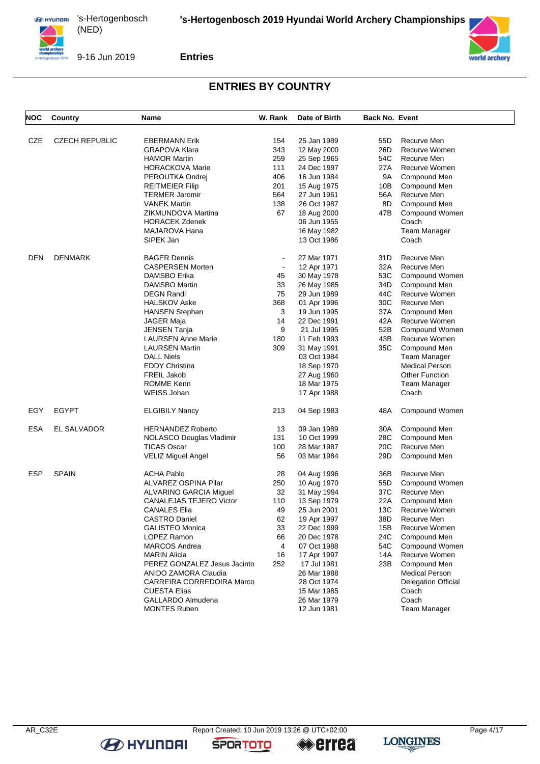

9-16 Jun 2019

**Entries**

## **ENTRIES BY COUNTRY**

| NOC        | Country               | Name                           | W. Rank        | Date of Birth | <b>Back No. Event</b> |                       |
|------------|-----------------------|--------------------------------|----------------|---------------|-----------------------|-----------------------|
|            |                       |                                |                |               |                       |                       |
| <b>CZE</b> | <b>CZECH REPUBLIC</b> | <b>EBERMANN Erik</b>           | 154            | 25 Jan 1989   | 55D                   | Recurve Men           |
|            |                       | <b>GRAPOVA Klara</b>           | 343            | 12 May 2000   | 26D                   | Recurve Women         |
|            |                       | <b>HAMOR Martin</b>            | 259            | 25 Sep 1965   | 54C                   | Recurve Men           |
|            |                       | <b>HORACKOVA Marie</b>         | 111            | 24 Dec 1997   | 27 A                  | Recurve Women         |
|            |                       | PEROUTKA Ondrej                | 406            | 16 Jun 1984   | 9A                    | Compound Men          |
|            |                       | <b>REITMEIER Filip</b>         | 201            | 15 Aug 1975   | 10B                   | Compound Men          |
|            |                       | <b>TERMER Jaromir</b>          | 564            | 27 Jun 1961   | 56A                   | Recurve Men           |
|            |                       | <b>VANEK Martin</b>            | 138            | 26 Oct 1987   | 8D                    | Compound Men          |
|            |                       | ZIKMUNDOVA Martina             | 67             | 18 Aug 2000   | 47B                   | Compound Women        |
|            |                       | <b>HORACEK Zdenek</b>          |                | 06 Jun 1955   |                       | Coach                 |
|            |                       | MAJAROVA Hana                  |                | 16 May 1982   |                       | Team Manager          |
|            |                       | SIPEK Jan                      |                | 13 Oct 1986   |                       | Coach                 |
| <b>DEN</b> | <b>DENMARK</b>        | <b>BAGER Dennis</b>            | $\blacksquare$ | 27 Mar 1971   | 31D                   | Recurve Men           |
|            |                       | <b>CASPERSEN Morten</b>        | $\blacksquare$ | 12 Apr 1971   | 32A                   | Recurve Men           |
|            |                       | DAMSBO Erika                   | 45             | 30 May 1978   | 53C                   | Compound Women        |
|            |                       | DAMSBO Martin                  | 33             | 26 May 1985   | 34D                   | Compound Men          |
|            |                       | <b>DEGN Randi</b>              | 75             | 29 Jun 1989   | 44C                   | Recurve Women         |
|            |                       | <b>HALSKOV Aske</b>            | 368            | 01 Apr 1996   | 30C                   | Recurve Men           |
|            |                       | <b>HANSEN Stephan</b>          | 3              | 19 Jun 1995   | 37A                   | Compound Men          |
|            |                       | JAGER Maja                     | 14             | 22 Dec 1991   | 42A                   | Recurve Women         |
|            |                       | <b>JENSEN Tanja</b>            | 9              | 21 Jul 1995   | 52B                   | Compound Women        |
|            |                       | <b>LAURSEN Anne Marie</b>      | 180            | 11 Feb 1993   | 43B                   | <b>Recurve Women</b>  |
|            |                       | <b>LAURSEN Martin</b>          | 309            | 31 May 1991   | 35C                   | Compound Men          |
|            |                       | <b>DALL Niels</b>              |                | 03 Oct 1984   |                       | Team Manager          |
|            |                       | <b>EDDY Christina</b>          |                | 18 Sep 1970   |                       | <b>Medical Person</b> |
|            |                       | <b>FREIL Jakob</b>             |                | 27 Aug 1960   |                       | <b>Other Function</b> |
|            |                       | ROMME Kenn                     |                | 18 Mar 1975   |                       | <b>Team Manager</b>   |
|            |                       | WEISS Johan                    |                | 17 Apr 1988   |                       | Coach                 |
| EGY        | <b>EGYPT</b>          | <b>ELGIBILY Nancy</b>          | 213            | 04 Sep 1983   | 48A                   | Compound Women        |
| ESA        | EL SALVADOR           | <b>HERNANDEZ Roberto</b>       | 13             | 09 Jan 1989   | 30A                   | Compound Men          |
|            |                       | NOLASCO Douglas Vladimir       | 131            | 10 Oct 1999   | 28C                   | Compound Men          |
|            |                       | <b>TICAS Oscar</b>             | 100            | 28 Mar 1987   | 20C                   | Recurve Men           |
|            |                       | <b>VELIZ Miguel Angel</b>      | 56             | 03 Mar 1984   | 29D                   | Compound Men          |
| <b>ESP</b> | <b>SPAIN</b>          | <b>ACHA Pablo</b>              | 28             | 04 Aug 1996   | 36B                   | Recurve Men           |
|            |                       | ALVAREZ OSPINA Pilar           | 250            | 10 Aug 1970   | 55D                   | Compound Women        |
|            |                       | ALVARINO GARCIA Miguel         | 32             | 31 May 1994   | 37C                   | Recurve Men           |
|            |                       | <b>CANALEJAS TEJERO Victor</b> | 110            | 13 Sep 1979   | 22 A                  | Compound Men          |
|            |                       | <b>CANALES Elia</b>            | 49             | 25 Jun 2001   | 13C                   | Recurve Women         |
|            |                       | <b>CASTRO Daniel</b>           | 62             | 19 Apr 1997   | 38D                   | Recurve Men           |
|            |                       | <b>GALISTEO Monica</b>         | 33             | 22 Dec 1999   | 15B                   | Recurve Women         |
|            |                       | LOPEZ Ramon                    | 66             | 20 Dec 1978   | 24C                   | Compound Men          |
|            |                       | <b>MARCOS Andrea</b>           | 4              | 07 Oct 1988   | 54C                   | Compound Women        |
|            |                       | <b>MARIN Alicia</b>            | 16             | 17 Apr 1997   | 14A                   | Recurve Women         |
|            |                       | PEREZ GONZALEZ Jesus Jacinto   | 252            | 17 Jul 1981   | 23B                   | Compound Men          |
|            |                       | ANIDO ZAMORA Claudia           |                | 26 Mar 1988   |                       | <b>Medical Person</b> |
|            |                       | CARREIRA CORREDOIRA Marco      |                | 28 Oct 1974   |                       | Delegation Official   |
|            |                       | <b>CUESTA Elias</b>            |                | 15 Mar 1985   |                       | Coach                 |
|            |                       | GALLARDO Almudena              |                | 26 Mar 1979   |                       | Coach                 |
|            |                       | <b>MONTES Ruben</b>            |                | 12 Jun 1981   |                       | <b>Team Manager</b>   |
|            |                       |                                |                |               |                       |                       |



**B** HYUNDAI

**SPORTOTO** 

**errea**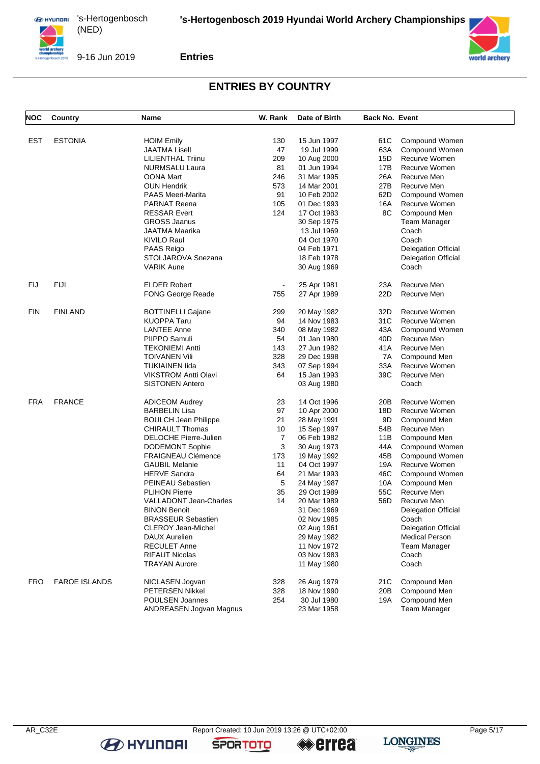

9-16 Jun 2019

**Entries**

# **ENTRIES BY COUNTRY**

| NOC        | <b>Country</b>       | Name                          | W. Rank        | Date of Birth | <b>Back No. Event</b> |                            |
|------------|----------------------|-------------------------------|----------------|---------------|-----------------------|----------------------------|
|            |                      |                               |                |               |                       |                            |
| <b>EST</b> | <b>ESTONIA</b>       | <b>HOIM Emily</b>             | 130            | 15 Jun 1997   | 61C                   | Compound Women             |
|            |                      | <b>JAATMA Lisell</b>          | 47             | 19 Jul 1999   | 63A                   | Compound Women             |
|            |                      | <b>LILIENTHAL Triinu</b>      | 209            | 10 Aug 2000   | 15D                   | Recurve Women              |
|            |                      | <b>NURMSALU Laura</b>         | 81             | 01 Jun 1994   | 17B                   | Recurve Women              |
|            |                      | OONA Mart                     | 246            | 31 Mar 1995   | 26A                   | Recurve Men                |
|            |                      | <b>OUN Hendrik</b>            | 573            | 14 Mar 2001   | 27B                   | Recurve Men                |
|            |                      | <b>PAAS Meeri-Marita</b>      | 91             | 10 Feb 2002   | 62D                   | Compound Women             |
|            |                      | <b>PARNAT Reena</b>           | 105            | 01 Dec 1993   | 16A                   | Recurve Women              |
|            |                      | <b>RESSAR Evert</b>           | 124            | 17 Oct 1983   | 8C                    | Compound Men               |
|            |                      | <b>GROSS Jaanus</b>           |                | 30 Sep 1975   |                       | <b>Team Manager</b>        |
|            |                      | <b>JAATMA Maarika</b>         |                | 13 Jul 1969   |                       | Coach                      |
|            |                      | KIVILO Raul                   |                | 04 Oct 1970   |                       | Coach                      |
|            |                      | PAAS Reigo                    |                | 04 Feb 1971   |                       | <b>Delegation Official</b> |
|            |                      | STOLJAROVA Snezana            |                | 18 Feb 1978   |                       | <b>Delegation Official</b> |
|            |                      | <b>VARIK Aune</b>             |                | 30 Aug 1969   |                       | Coach                      |
|            |                      |                               |                |               |                       |                            |
| FIJ        | FIJI                 | <b>ELDER Robert</b>           | $\blacksquare$ | 25 Apr 1981   | 23A                   | Recurve Men                |
|            |                      | FONG George Reade             | 755            | 27 Apr 1989   | 22D                   | Recurve Men                |
| <b>FIN</b> | <b>FINLAND</b>       | <b>BOTTINELLI Gajane</b>      | 299            | 20 May 1982   | 32D                   | Recurve Women              |
|            |                      | <b>KUOPPA Taru</b>            | 94             | 14 Nov 1983   | 31C                   | Recurve Women              |
|            |                      | <b>LANTEE Anne</b>            | 340            | 08 May 1982   | 43A                   | Compound Women             |
|            |                      | PIIPPO Samuli                 | 54             | 01 Jan 1980   | 40 <sub>D</sub>       | Recurve Men                |
|            |                      | <b>TEKONIEMI Antti</b>        | 143            | 27 Jun 1982   | 41A                   | Recurve Men                |
|            |                      | <b>TOIVANEN Vili</b>          | 328            | 29 Dec 1998   | 7A                    | Compound Men               |
|            |                      | <b>TUKIAINEN lida</b>         | 343            | 07 Sep 1994   | 33A                   | Recurve Women              |
|            |                      | <b>VIKSTROM Antti Olavi</b>   | 64             | 15 Jan 1993   | 39C                   | Recurve Men                |
|            |                      | <b>SISTONEN Antero</b>        |                | 03 Aug 1980   |                       | Coach                      |
|            |                      |                               |                |               |                       |                            |
| FRA        | <b>FRANCE</b>        | <b>ADICEOM Audrey</b>         | 23             | 14 Oct 1996   | 20B                   | Recurve Women              |
|            |                      | <b>BARBELIN Lisa</b>          | 97             | 10 Apr 2000   | 18D                   | Recurve Women              |
|            |                      | <b>BOULCH Jean Philippe</b>   | 21             | 28 May 1991   | 9D                    | Compound Men               |
|            |                      | <b>CHIRAULT Thomas</b>        | 10             | 15 Sep 1997   | 54B                   | Recurve Men                |
|            |                      | DELOCHE Pierre-Julien         | $\overline{7}$ | 06 Feb 1982   | 11B                   | Compound Men               |
|            |                      | <b>DODEMONT Sophie</b>        | 3              | 30 Aug 1973   | 44 A                  | Compound Women             |
|            |                      | <b>FRAIGNEAU Clémence</b>     | 173            | 19 May 1992   | 45B                   | Compound Women             |
|            |                      | <b>GAUBIL Melanie</b>         | 11             | 04 Oct 1997   | 19A                   | Recurve Women              |
|            |                      | <b>HERVE Sandra</b>           | 64             | 21 Mar 1993   | 46C                   | Compound Women             |
|            |                      | PEINEAU Sebastien             | 5              | 24 May 1987   | 10A                   | Compound Men               |
|            |                      | <b>PLIHON Pierre</b>          | 35             | 29 Oct 1989   | 55C                   | Recurve Men                |
|            |                      | <b>VALLADONT Jean-Charles</b> | 14             | 20 Mar 1989   | 56D                   | Recurve Men                |
|            |                      | <b>BINON Benoit</b>           |                | 31 Dec 1969   |                       | <b>Delegation Official</b> |
|            |                      | <b>BRASSEUR Sebastien</b>     |                | 02 Nov 1985   |                       | Coach                      |
|            |                      | <b>CLEROY Jean-Michel</b>     |                | 02 Aug 1961   |                       | <b>Delegation Official</b> |
|            |                      | DAUX Aurelien                 |                | 29 May 1982   |                       | <b>Medical Person</b>      |
|            |                      | <b>RECULET Anne</b>           |                | 11 Nov 1972   |                       | Team Manager               |
|            |                      | <b>RIFAUT Nicolas</b>         |                | 03 Nov 1983   |                       | Coach                      |
|            |                      | <b>TRAYAN Aurore</b>          |                | 11 May 1980   |                       | Coach                      |
|            |                      |                               |                |               |                       |                            |
| <b>FRO</b> | <b>FAROE ISLANDS</b> | NICLASEN Jogvan               | 328            | 26 Aug 1979   | 21C                   | Compound Men               |
|            |                      | <b>PETERSEN Nikkel</b>        | 328            | 18 Nov 1990   | 20B                   | Compound Men               |
|            |                      | <b>POULSEN Joannes</b>        | 254            | 30 Jul 1980   | 19A                   | Compound Men               |
|            |                      | ANDREASEN Jogvan Magnus       |                | 23 Mar 1958   |                       | Team Manager               |

**B** HYUNDAI

**SPORTOTO** 

**errea**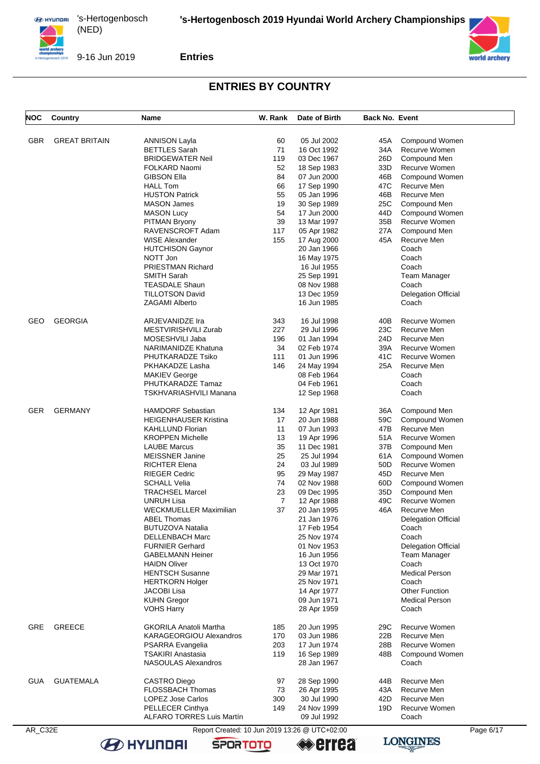

9-16 Jun 2019

**Entries**

# **ENTRIES BY COUNTRY**

| NOC | Country              | Name                             | W. Rank | Date of Birth | <b>Back No. Event</b> |                            |
|-----|----------------------|----------------------------------|---------|---------------|-----------------------|----------------------------|
|     |                      |                                  |         |               |                       |                            |
| GBR | <b>GREAT BRITAIN</b> | ANNISON Layla                    | 60      | 05 Jul 2002   | 45A                   | Compound Women             |
|     |                      | <b>BETTLES</b> Sarah             | 71      | 16 Oct 1992   | 34A                   | Recurve Women              |
|     |                      | <b>BRIDGEWATER Neil</b>          | 119     | 03 Dec 1967   | 26D                   | Compound Men               |
|     |                      | FOLKARD Naomi                    | 52      | 18 Sep 1983   | 33D                   | Recurve Women              |
|     |                      | <b>GIBSON Ella</b>               | 84      | 07 Jun 2000   | 46B                   | Compound Women             |
|     |                      | <b>HALL Tom</b>                  | 66      | 17 Sep 1990   | 47C                   | Recurve Men                |
|     |                      | <b>HUSTON Patrick</b>            | 55      | 05 Jan 1996   | 46B                   | Recurve Men                |
|     |                      | <b>MASON James</b>               | 19      | 30 Sep 1989   | 25C                   | Compound Men               |
|     |                      | <b>MASON Lucy</b>                | 54      | 17 Jun 2000   | 44D                   | Compound Women             |
|     |                      | <b>PITMAN Bryony</b>             | 39      | 13 Mar 1997   | 35B                   | Recurve Women              |
|     |                      | RAVENSCROFT Adam                 | 117     | 05 Apr 1982   | 27 A                  | Compound Men               |
|     |                      | <b>WISE Alexander</b>            | 155     | 17 Aug 2000   | 45A                   | Recurve Men                |
|     |                      | <b>HUTCHISON Gaynor</b>          |         | 20 Jan 1966   |                       | Coach                      |
|     |                      | NOTT Jon                         |         | 16 May 1975   |                       | Coach                      |
|     |                      | <b>PRIESTMAN Richard</b>         |         | 16 Jul 1955   |                       | Coach                      |
|     |                      | <b>SMITH Sarah</b>               |         | 25 Sep 1991   |                       | Team Manager               |
|     |                      | <b>TEASDALE Shaun</b>            |         | 08 Nov 1988   |                       | Coach                      |
|     |                      | <b>TILLOTSON David</b>           |         | 13 Dec 1959   |                       | <b>Delegation Official</b> |
|     |                      | <b>ZAGAMI Alberto</b>            |         | 16 Jun 1985   |                       | Coach                      |
|     |                      |                                  |         |               |                       |                            |
| GEO | <b>GEORGIA</b>       | ARJEVANIDZE Ira                  | 343     | 16 Jul 1998   | 40B                   | Recurve Women              |
|     |                      | MESTVIRISHVILI Zurab             | 227     | 29 Jul 1996   | 23C                   | Recurve Men                |
|     |                      | MOSESHVILI Jaba                  | 196     | 01 Jan 1994   | 24D                   | Recurve Men                |
|     |                      | NARIMANIDZE Khatuna              | 34      | 02 Feb 1974   | 39A                   | Recurve Women              |
|     |                      | PHUTKARADZE Tsiko                | 111     | 01 Jun 1996   | 41C                   | Recurve Women              |
|     |                      | PKHAKADZE Lasha                  | 146     | 24 May 1994   | 25A                   | Recurve Men                |
|     |                      | <b>MAKIEV George</b>             |         | 08 Feb 1964   |                       | Coach                      |
|     |                      | PHUTKARADZE Tamaz                |         | 04 Feb 1961   |                       | Coach                      |
|     |                      | <b>TSKHVARIASHVILI Manana</b>    |         | 12 Sep 1968   |                       | Coach                      |
| GER | <b>GERMANY</b>       | <b>HAMDORF Sebastian</b>         | 134     | 12 Apr 1981   | 36A                   | Compound Men               |
|     |                      | <b>HEIGENHAUSER Kristina</b>     | 17      | 20 Jun 1988   | 59C                   | Compound Women             |
|     |                      | <b>KAHLLUND Florian</b>          | 11      | 07 Jun 1993   | 47B                   | Recurve Men                |
|     |                      | <b>KROPPEN Michelle</b>          | 13      | 19 Apr 1996   | 51A                   | Recurve Women              |
|     |                      | <b>LAUBE Marcus</b>              | 35      | 11 Dec 1981   | 37B                   | Compound Men               |
|     |                      | <b>MEISSNER Janine</b>           | 25      | 25 Jul 1994   | 61A                   | Compound Women             |
|     |                      | <b>RICHTER Elena</b>             | 24      | 03 Jul 1989   | 50 <sub>D</sub>       | Recurve Women              |
|     |                      | <b>RIEGER Cedric</b>             | 95      | 29 May 1987   | 45D                   | Recurve Men                |
|     |                      | <b>SCHALL Velia</b>              | 74      | 02 Nov 1988   | 60D                   | Compound Women             |
|     |                      | <b>TRACHSEL Marcel</b>           | 23      | 09 Dec 1995   | 35D                   | Compound Men               |
|     |                      | UNRUH Lisa                       | 7       | 12 Apr 1988   | 49C                   | Recurve Women              |
|     |                      | <b>WECKMUELLER Maximilian</b>    | 37      | 20 Jan 1995   | 46A                   | Recurve Men                |
|     |                      | ABEL Thomas                      |         | 21 Jan 1976   |                       | <b>Delegation Official</b> |
|     |                      | <b>BUTUZOVA Natalia</b>          |         | 17 Feb 1954   |                       | Coach                      |
|     |                      | DELLENBACH Marc                  |         | 25 Nov 1974   |                       | Coach                      |
|     |                      | <b>FURNIER Gerhard</b>           |         | 01 Nov 1953   |                       | <b>Delegation Official</b> |
|     |                      | <b>GABELMANN Heiner</b>          |         | 16 Jun 1956   |                       | <b>Team Manager</b>        |
|     |                      | <b>HAIDN Oliver</b>              |         | 13 Oct 1970   |                       | Coach                      |
|     |                      | <b>HENTSCH Susanne</b>           |         | 29 Mar 1971   |                       | <b>Medical Person</b>      |
|     |                      | <b>HERTKORN Holger</b>           |         | 25 Nov 1971   |                       | Coach                      |
|     |                      | JACOBI Lisa                      |         | 14 Apr 1977   |                       | <b>Other Function</b>      |
|     |                      | <b>KUHN Gregor</b>               |         | 09 Jun 1971   |                       | <b>Medical Person</b>      |
|     |                      | <b>VOHS Harry</b>                |         | 28 Apr 1959   |                       | Coach                      |
|     |                      |                                  |         |               |                       |                            |
| GRE | <b>GREECE</b>        | <b>GKORILA Anatoli Martha</b>    | 185     | 20 Jun 1995   | 29C                   | Recurve Women              |
|     |                      | KARAGEORGIOU Alexandros          | 170     | 03 Jun 1986   | 22B                   | Recurve Men                |
|     |                      | PSARRA Evangelia                 | 203     | 17 Jun 1974   | 28B                   | Recurve Women              |
|     |                      | <b>TSAKIRI Anastasia</b>         | 119     | 16 Sep 1989   | 48B                   | Compound Women             |
|     |                      | NASOULAS Alexandros              |         | 28 Jan 1967   |                       | Coach                      |
| GUA | <b>GUATEMALA</b>     | CASTRO Diego                     | 97      | 28 Sep 1990   | 44B                   | Recurve Men                |
|     |                      | FLOSSBACH Thomas                 | 73      | 26 Apr 1995   | 43A                   | Recurve Men                |
|     |                      | <b>LOPEZ Jose Carlos</b>         | 300     | 30 Jul 1990   | 42D                   | Recurve Men                |
|     |                      | PELLECER Cinthya                 | 149     | 24 Nov 1999   | 19D                   | Recurve Women              |
|     |                      | <b>ALFARO TORRES Luis Martín</b> |         | 09 Jul 1992   |                       | Coach                      |
|     |                      |                                  |         |               |                       |                            |

**B** HYUNDAI

AR\_C32E Report Created: 10 Jun 2019 13:26 @ UTC+02:00 Page 6/17<br> **AR\_C32E** Page 6/17<br> **AR\_C32E** Page 6/17 **errea** 

**SPORTOTO** 



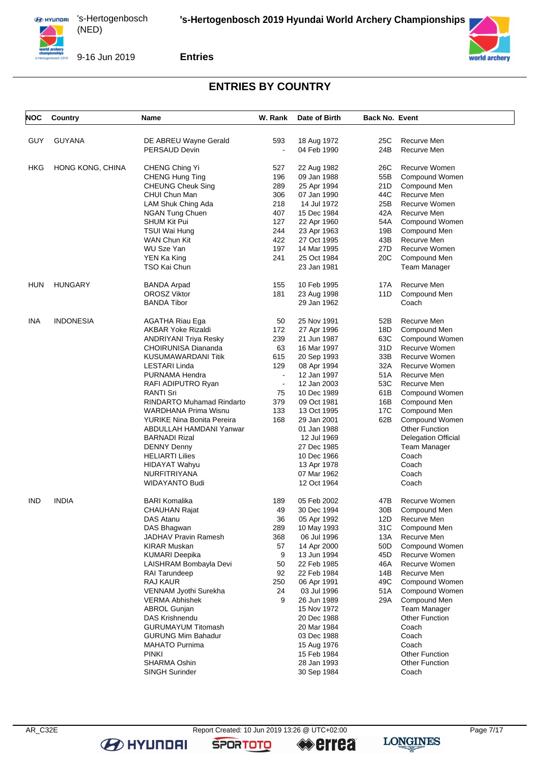

9-16 Jun 2019

**Entries**

## **ENTRIES BY COUNTRY**

| NOC | <b>Country</b>   | <b>Name</b>                                       | W. Rank        | Date of Birth              | <b>Back No. Event</b> |                                 |  |
|-----|------------------|---------------------------------------------------|----------------|----------------------------|-----------------------|---------------------------------|--|
|     |                  |                                                   |                |                            |                       |                                 |  |
| GUY | <b>GUYANA</b>    | DE ABREU Wayne Gerald                             | 593            | 18 Aug 1972                | 25C                   | Recurve Men                     |  |
|     |                  | PERSAUD Devin                                     | $\blacksquare$ | 04 Feb 1990                | 24B                   | Recurve Men                     |  |
|     |                  |                                                   |                |                            |                       |                                 |  |
| HKG | HONG KONG, CHINA | CHENG Ching Yi                                    | 527            | 22 Aug 1982                | 26C                   | <b>Recurve Women</b>            |  |
|     |                  | CHENG Hung Ting                                   | 196            | 09 Jan 1988                | 55B                   | Compound Women                  |  |
|     |                  | <b>CHEUNG Cheuk Sing</b>                          | 289            | 25 Apr 1994                | 21D                   | Compound Men                    |  |
|     |                  | CHUI Chun Man                                     | 306            | 07 Jan 1990                | 44C                   | Recurve Men                     |  |
|     |                  | LAM Shuk Ching Ada                                | 218            | 14 Jul 1972                | 25B                   | Recurve Women                   |  |
|     |                  | NGAN Tung Chuen                                   | 407            | 15 Dec 1984                | 42A                   | Recurve Men                     |  |
|     |                  | <b>SHUM Kit Pui</b>                               | 127            | 22 Apr 1960                | 54A                   | Compound Women                  |  |
|     |                  | TSUI Wai Hung                                     | 244            | 23 Apr 1963                | 19B                   | Compound Men                    |  |
|     |                  | WAN Chun Kit                                      | 422            | 27 Oct 1995                | 43B                   | Recurve Men                     |  |
|     |                  | <b>WU Sze Yan</b>                                 | 197            | 14 Mar 1995                | 27D                   | Recurve Women                   |  |
|     |                  | YEN Ka King                                       | 241            | 25 Oct 1984                | 20C                   | Compound Men                    |  |
|     |                  | TSO Kai Chun                                      |                | 23 Jan 1981                |                       | Team Manager                    |  |
|     |                  |                                                   |                |                            |                       |                                 |  |
| HUN | <b>HUNGARY</b>   | <b>BANDA Arpad</b>                                | 155            | 10 Feb 1995                | 17A                   | Recurve Men                     |  |
|     |                  | <b>OROSZ Viktor</b>                               | 181            | 23 Aug 1998                | 11D                   | Compound Men                    |  |
|     |                  | <b>BANDA Tibor</b>                                |                | 29 Jan 1962                |                       | Coach                           |  |
|     | <b>INDONESIA</b> |                                                   |                |                            |                       |                                 |  |
| ina |                  | <b>AGATHA Riau Ega</b>                            | 50             | 25 Nov 1991                | 52B                   | Recurve Men                     |  |
|     |                  | AKBAR Yoke Rizaldi                                | 172            | 27 Apr 1996                | 18D                   | Compound Men                    |  |
|     |                  | <b>ANDRIYANI Triya Resky</b>                      | 239<br>63      | 21 Jun 1987                | 63C<br>31D            | Compound Women<br>Recurve Women |  |
|     |                  | <b>CHOIRUNISA Diananda</b><br>KUSUMAWARDANI Titik | 615            | 16 Mar 1997<br>20 Sep 1993 | 33B                   | Recurve Women                   |  |
|     |                  | <b>LESTARI Linda</b>                              | 129            | 08 Apr 1994                | 32A                   | Recurve Women                   |  |
|     |                  | PURNAMA Hendra                                    | $\sim$         | 12 Jan 1997                | 51A                   | Recurve Men                     |  |
|     |                  | RAFI ADIPUTRO Ryan                                | $\blacksquare$ | 12 Jan 2003                | 53C                   | Recurve Men                     |  |
|     |                  | <b>RANTI Sri</b>                                  | 75             | 10 Dec 1989                | 61B                   | Compound Women                  |  |
|     |                  | <b>RINDARTO Muhamad Rindarto</b>                  | 379            | 09 Oct 1981                | 16B                   | Compound Men                    |  |
|     |                  | <b>WARDHANA Prima Wisnu</b>                       | 133            | 13 Oct 1995                | 17C                   | Compound Men                    |  |
|     |                  | YURIKE Nina Bonita Pereira                        | 168            | 29 Jan 2001                | 62B                   | Compound Women                  |  |
|     |                  | ABDULLAH HAMDANI Yanwar                           |                | 01 Jan 1988                |                       | <b>Other Function</b>           |  |
|     |                  | <b>BARNADI Rizal</b>                              |                | 12 Jul 1969                |                       | <b>Delegation Official</b>      |  |
|     |                  | <b>DENNY Denny</b>                                |                | 27 Dec 1985                |                       | Team Manager                    |  |
|     |                  | <b>HELIARTI Lilies</b>                            |                | 10 Dec 1966                |                       | Coach                           |  |
|     |                  | HIDAYAT Wahyu                                     |                | 13 Apr 1978                |                       | Coach                           |  |
|     |                  | <b>NURFITRIYANA</b>                               |                | 07 Mar 1962                |                       | Coach                           |  |
|     |                  | WIDAYANTO Budi                                    |                | 12 Oct 1964                |                       | Coach                           |  |
|     |                  |                                                   |                |                            |                       |                                 |  |
| IND | <b>INDIA</b>     | <b>BARI Komalika</b>                              | 189            | 05 Feb 2002                | 47B                   | Recurve Women                   |  |
|     |                  | <b>CHAUHAN Rajat</b>                              | 49             | 30 Dec 1994                | 30 <sub>B</sub>       | Compound Men                    |  |
|     |                  | DAS Atanu                                         | 36             | 05 Apr 1992                | 12D -                 | Recurve Men                     |  |
|     |                  | DAS Bhagwan                                       | 289            | 10 May 1993                | 31C                   | Compound Men                    |  |
|     |                  | JADHAV Pravin Ramesh                              | 368            | 06 Jul 1996                | 13A                   | Recurve Men                     |  |
|     |                  | <b>KIRAR Muskan</b>                               | 57             | 14 Apr 2000                | 50D                   | Compound Women                  |  |
|     |                  | <b>KUMARI Deepika</b>                             | 9              | 13 Jun 1994                | 45D                   | Recurve Women                   |  |
|     |                  | LAISHRAM Bombayla Devi                            | 50             | 22 Feb 1985                | 46A                   | Recurve Women                   |  |
|     |                  | <b>RAI Tarundeep</b>                              | 92             | 22 Feb 1984                | 14B                   | Recurve Men                     |  |
|     |                  | <b>RAJ KAUR</b>                                   | 250            | 06 Apr 1991                | 49C                   | Compound Women                  |  |
|     |                  | VENNAM Jyothi Surekha                             | 24             | 03 Jul 1996                | 51 A                  | Compound Women                  |  |
|     |                  | <b>VERMA Abhishek</b>                             | 9              | 26 Jun 1989                | 29A                   | Compound Men                    |  |
|     |                  | <b>ABROL Gunjan</b>                               |                | 15 Nov 1972                |                       | Team Manager                    |  |
|     |                  | DAS Krishnendu                                    |                | 20 Dec 1988                |                       | Other Function                  |  |
|     |                  | <b>GURUMAYUM Titomash</b>                         |                | 20 Mar 1984                |                       | Coach                           |  |
|     |                  | <b>GURUNG Mim Bahadur</b>                         |                | 03 Dec 1988                |                       | Coach                           |  |
|     |                  | <b>MAHATO Purnima</b>                             |                | 15 Aug 1976                |                       | Coach                           |  |
|     |                  | <b>PINKI</b>                                      |                | 15 Feb 1984                |                       | <b>Other Function</b>           |  |
|     |                  | SHARMA Oshin                                      |                | 28 Jan 1993                |                       | <b>Other Function</b>           |  |
|     |                  | SINGH Surinder                                    |                | 30 Sep 1984                |                       | Coach                           |  |

**B** HYUNDAI

AR\_C32E Report Created: 10 Jun 2019 13:26 @ UTC+02:00 Page 7/17<br> **AR\_C32E** Page 7/17<br> **AR\_C32E** Page 7/17

**SPORTOTO** 

**errea** 

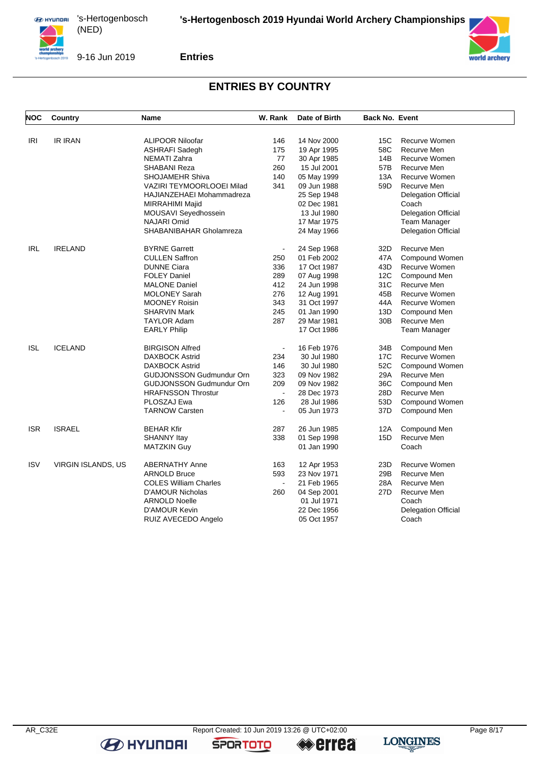

9-16 Jun 2019

**Entries**

### **ENTRIES BY COUNTRY**

| <b>IRI</b><br><b>IR IRAN</b><br><b>ALIPOOR Niloofar</b><br>14 Nov 2000<br>Recurve Women<br>146<br>15C<br>175<br>58C<br><b>ASHRAFI Sadegh</b><br>19 Apr 1995<br>Recurve Men<br>77<br>NEMATI Zahra<br>14B<br>Recurve Women<br>30 Apr 1985<br><b>SHABANI Reza</b><br>260<br>15 Jul 2001<br>57B<br>Recurve Men<br>140<br>13A<br><b>SHOJAMEHR Shiva</b><br>05 May 1999<br>Recurve Women<br>VAZIRI TEYMOORLOOEI Milad<br>341<br>59D<br>Recurve Men<br>09 Jun 1988<br>25 Sep 1948<br>HAJIANZEHAEI Mohammadreza<br><b>Delegation Official</b><br>MIRRAHIMI Majid<br>02 Dec 1981<br>Coach<br>MOUSAVI Seyedhossein<br>13 Jul 1980<br><b>Delegation Official</b><br>NAJARI Omid<br><b>Team Manager</b><br>17 Mar 1975<br>SHABANIBAHAR Gholamreza<br><b>Delegation Official</b><br>24 May 1966<br><b>IRELAND</b><br><b>BYRNE Garrett</b><br>Recurve Men<br><b>IRL</b><br>24 Sep 1968<br>32D<br>$\overline{a}$<br><b>CULLEN Saffron</b><br>250<br>01 Feb 2002<br>47A<br>Compound Women<br><b>DUNNE Ciara</b><br>336<br>17 Oct 1987<br>43D<br>Recurve Women<br><b>FOLEY Daniel</b><br>289<br>12C<br>07 Aug 1998<br>Compound Men<br><b>MALONE Daniel</b><br>412<br>31C<br>24 Jun 1998<br>Recurve Men<br>276<br><b>MOLONEY Sarah</b><br>12 Aug 1991<br>45B<br>Recurve Women<br>343<br><b>MOONEY Roisin</b><br>31 Oct 1997<br>44A<br>Recurve Women<br><b>SHARVIN Mark</b><br>245<br>01 Jan 1990<br>13D<br>Compound Men<br><b>TAYLOR Adam</b><br>287<br>29 Mar 1981<br>30 <sub>B</sub><br>Recurve Men<br><b>EARLY Philip</b><br>17 Oct 1986<br>Team Manager<br><b>ICELAND</b><br><b>BIRGISON Alfred</b><br>16 Feb 1976<br>Compound Men<br><b>ISL</b><br>34B<br>$\blacksquare$<br>Recurve Women<br><b>DAXBOCK Astrid</b><br>234<br>30 Jul 1980<br>17C<br><b>DAXBOCK Astrid</b><br>146<br>52C<br>Compound Women<br>30 Jul 1980<br>323<br>29A<br>Recurve Men<br><b>GUDJONSSON Gudmundur Orn</b><br>09 Nov 1982<br>209<br>36C<br><b>GUDJONSSON Gudmundur Orn</b><br>09 Nov 1982<br>Compound Men<br><b>HRAFNSSON Throstur</b><br>28D<br>Recurve Men<br>28 Dec 1973<br>$\overline{\phantom{a}}$<br>126<br>53D<br>PLOSZAJ Ewa<br>28 Jul 1986<br>Compound Women<br><b>TARNOW Carsten</b><br>05 Jun 1973<br>37D<br>Compound Men<br>L,<br><b>ISR</b><br><b>ISRAEL</b><br><b>BEHAR Kfir</b><br>287<br>26 Jun 1985<br>12A<br>Compound Men<br>338<br>15D<br>Recurve Men<br>01 Sep 1998<br><b>SHANNY Itay</b><br>Coach<br><b>MATZKIN Guy</b><br>01 Jan 1990<br><b>ISV</b><br>VIRGIN ISLANDS, US<br><b>ABERNATHY Anne</b><br>12 Apr 1953<br>23D<br>Recurve Women<br>163<br>593<br>23 Nov 1971<br>29B<br>Recurve Men<br><b>ARNOLD Bruce</b><br>28A<br><b>COLES William Charles</b><br>21 Feb 1965<br>Recurve Men<br>$\blacksquare$<br><b>D'AMOUR Nicholas</b><br>27D<br>Recurve Men<br>260<br>04 Sep 2001<br><b>ARNOLD Noelle</b><br>01 Jul 1971<br>Coach<br><b>D'AMOUR Kevin</b><br>22 Dec 1956<br><b>Delegation Official</b> | <b>NOC</b> | Country | Name | W. Rank | Date of Birth | <b>Back No. Event</b> |  |
|----------------------------------------------------------------------------------------------------------------------------------------------------------------------------------------------------------------------------------------------------------------------------------------------------------------------------------------------------------------------------------------------------------------------------------------------------------------------------------------------------------------------------------------------------------------------------------------------------------------------------------------------------------------------------------------------------------------------------------------------------------------------------------------------------------------------------------------------------------------------------------------------------------------------------------------------------------------------------------------------------------------------------------------------------------------------------------------------------------------------------------------------------------------------------------------------------------------------------------------------------------------------------------------------------------------------------------------------------------------------------------------------------------------------------------------------------------------------------------------------------------------------------------------------------------------------------------------------------------------------------------------------------------------------------------------------------------------------------------------------------------------------------------------------------------------------------------------------------------------------------------------------------------------------------------------------------------------------------------------------------------------------------------------------------------------------------------------------------------------------------------------------------------------------------------------------------------------------------------------------------------------------------------------------------------------------------------------------------------------------------------------------------------------------------------------------------------------------------------------------------------------------------------------------------------------------------------------------------------------------------------------------------------------------------------------------------------------------------------------------------------------------------------------------------------------------------------------------------------------------------------------------|------------|---------|------|---------|---------------|-----------------------|--|
|                                                                                                                                                                                                                                                                                                                                                                                                                                                                                                                                                                                                                                                                                                                                                                                                                                                                                                                                                                                                                                                                                                                                                                                                                                                                                                                                                                                                                                                                                                                                                                                                                                                                                                                                                                                                                                                                                                                                                                                                                                                                                                                                                                                                                                                                                                                                                                                                                                                                                                                                                                                                                                                                                                                                                                                                                                                                                              |            |         |      |         |               |                       |  |
|                                                                                                                                                                                                                                                                                                                                                                                                                                                                                                                                                                                                                                                                                                                                                                                                                                                                                                                                                                                                                                                                                                                                                                                                                                                                                                                                                                                                                                                                                                                                                                                                                                                                                                                                                                                                                                                                                                                                                                                                                                                                                                                                                                                                                                                                                                                                                                                                                                                                                                                                                                                                                                                                                                                                                                                                                                                                                              |            |         |      |         |               |                       |  |
|                                                                                                                                                                                                                                                                                                                                                                                                                                                                                                                                                                                                                                                                                                                                                                                                                                                                                                                                                                                                                                                                                                                                                                                                                                                                                                                                                                                                                                                                                                                                                                                                                                                                                                                                                                                                                                                                                                                                                                                                                                                                                                                                                                                                                                                                                                                                                                                                                                                                                                                                                                                                                                                                                                                                                                                                                                                                                              |            |         |      |         |               |                       |  |
|                                                                                                                                                                                                                                                                                                                                                                                                                                                                                                                                                                                                                                                                                                                                                                                                                                                                                                                                                                                                                                                                                                                                                                                                                                                                                                                                                                                                                                                                                                                                                                                                                                                                                                                                                                                                                                                                                                                                                                                                                                                                                                                                                                                                                                                                                                                                                                                                                                                                                                                                                                                                                                                                                                                                                                                                                                                                                              |            |         |      |         |               |                       |  |
|                                                                                                                                                                                                                                                                                                                                                                                                                                                                                                                                                                                                                                                                                                                                                                                                                                                                                                                                                                                                                                                                                                                                                                                                                                                                                                                                                                                                                                                                                                                                                                                                                                                                                                                                                                                                                                                                                                                                                                                                                                                                                                                                                                                                                                                                                                                                                                                                                                                                                                                                                                                                                                                                                                                                                                                                                                                                                              |            |         |      |         |               |                       |  |
|                                                                                                                                                                                                                                                                                                                                                                                                                                                                                                                                                                                                                                                                                                                                                                                                                                                                                                                                                                                                                                                                                                                                                                                                                                                                                                                                                                                                                                                                                                                                                                                                                                                                                                                                                                                                                                                                                                                                                                                                                                                                                                                                                                                                                                                                                                                                                                                                                                                                                                                                                                                                                                                                                                                                                                                                                                                                                              |            |         |      |         |               |                       |  |
|                                                                                                                                                                                                                                                                                                                                                                                                                                                                                                                                                                                                                                                                                                                                                                                                                                                                                                                                                                                                                                                                                                                                                                                                                                                                                                                                                                                                                                                                                                                                                                                                                                                                                                                                                                                                                                                                                                                                                                                                                                                                                                                                                                                                                                                                                                                                                                                                                                                                                                                                                                                                                                                                                                                                                                                                                                                                                              |            |         |      |         |               |                       |  |
|                                                                                                                                                                                                                                                                                                                                                                                                                                                                                                                                                                                                                                                                                                                                                                                                                                                                                                                                                                                                                                                                                                                                                                                                                                                                                                                                                                                                                                                                                                                                                                                                                                                                                                                                                                                                                                                                                                                                                                                                                                                                                                                                                                                                                                                                                                                                                                                                                                                                                                                                                                                                                                                                                                                                                                                                                                                                                              |            |         |      |         |               |                       |  |
|                                                                                                                                                                                                                                                                                                                                                                                                                                                                                                                                                                                                                                                                                                                                                                                                                                                                                                                                                                                                                                                                                                                                                                                                                                                                                                                                                                                                                                                                                                                                                                                                                                                                                                                                                                                                                                                                                                                                                                                                                                                                                                                                                                                                                                                                                                                                                                                                                                                                                                                                                                                                                                                                                                                                                                                                                                                                                              |            |         |      |         |               |                       |  |
|                                                                                                                                                                                                                                                                                                                                                                                                                                                                                                                                                                                                                                                                                                                                                                                                                                                                                                                                                                                                                                                                                                                                                                                                                                                                                                                                                                                                                                                                                                                                                                                                                                                                                                                                                                                                                                                                                                                                                                                                                                                                                                                                                                                                                                                                                                                                                                                                                                                                                                                                                                                                                                                                                                                                                                                                                                                                                              |            |         |      |         |               |                       |  |
|                                                                                                                                                                                                                                                                                                                                                                                                                                                                                                                                                                                                                                                                                                                                                                                                                                                                                                                                                                                                                                                                                                                                                                                                                                                                                                                                                                                                                                                                                                                                                                                                                                                                                                                                                                                                                                                                                                                                                                                                                                                                                                                                                                                                                                                                                                                                                                                                                                                                                                                                                                                                                                                                                                                                                                                                                                                                                              |            |         |      |         |               |                       |  |
|                                                                                                                                                                                                                                                                                                                                                                                                                                                                                                                                                                                                                                                                                                                                                                                                                                                                                                                                                                                                                                                                                                                                                                                                                                                                                                                                                                                                                                                                                                                                                                                                                                                                                                                                                                                                                                                                                                                                                                                                                                                                                                                                                                                                                                                                                                                                                                                                                                                                                                                                                                                                                                                                                                                                                                                                                                                                                              |            |         |      |         |               |                       |  |
|                                                                                                                                                                                                                                                                                                                                                                                                                                                                                                                                                                                                                                                                                                                                                                                                                                                                                                                                                                                                                                                                                                                                                                                                                                                                                                                                                                                                                                                                                                                                                                                                                                                                                                                                                                                                                                                                                                                                                                                                                                                                                                                                                                                                                                                                                                                                                                                                                                                                                                                                                                                                                                                                                                                                                                                                                                                                                              |            |         |      |         |               |                       |  |
|                                                                                                                                                                                                                                                                                                                                                                                                                                                                                                                                                                                                                                                                                                                                                                                                                                                                                                                                                                                                                                                                                                                                                                                                                                                                                                                                                                                                                                                                                                                                                                                                                                                                                                                                                                                                                                                                                                                                                                                                                                                                                                                                                                                                                                                                                                                                                                                                                                                                                                                                                                                                                                                                                                                                                                                                                                                                                              |            |         |      |         |               |                       |  |
|                                                                                                                                                                                                                                                                                                                                                                                                                                                                                                                                                                                                                                                                                                                                                                                                                                                                                                                                                                                                                                                                                                                                                                                                                                                                                                                                                                                                                                                                                                                                                                                                                                                                                                                                                                                                                                                                                                                                                                                                                                                                                                                                                                                                                                                                                                                                                                                                                                                                                                                                                                                                                                                                                                                                                                                                                                                                                              |            |         |      |         |               |                       |  |
|                                                                                                                                                                                                                                                                                                                                                                                                                                                                                                                                                                                                                                                                                                                                                                                                                                                                                                                                                                                                                                                                                                                                                                                                                                                                                                                                                                                                                                                                                                                                                                                                                                                                                                                                                                                                                                                                                                                                                                                                                                                                                                                                                                                                                                                                                                                                                                                                                                                                                                                                                                                                                                                                                                                                                                                                                                                                                              |            |         |      |         |               |                       |  |
|                                                                                                                                                                                                                                                                                                                                                                                                                                                                                                                                                                                                                                                                                                                                                                                                                                                                                                                                                                                                                                                                                                                                                                                                                                                                                                                                                                                                                                                                                                                                                                                                                                                                                                                                                                                                                                                                                                                                                                                                                                                                                                                                                                                                                                                                                                                                                                                                                                                                                                                                                                                                                                                                                                                                                                                                                                                                                              |            |         |      |         |               |                       |  |
|                                                                                                                                                                                                                                                                                                                                                                                                                                                                                                                                                                                                                                                                                                                                                                                                                                                                                                                                                                                                                                                                                                                                                                                                                                                                                                                                                                                                                                                                                                                                                                                                                                                                                                                                                                                                                                                                                                                                                                                                                                                                                                                                                                                                                                                                                                                                                                                                                                                                                                                                                                                                                                                                                                                                                                                                                                                                                              |            |         |      |         |               |                       |  |
|                                                                                                                                                                                                                                                                                                                                                                                                                                                                                                                                                                                                                                                                                                                                                                                                                                                                                                                                                                                                                                                                                                                                                                                                                                                                                                                                                                                                                                                                                                                                                                                                                                                                                                                                                                                                                                                                                                                                                                                                                                                                                                                                                                                                                                                                                                                                                                                                                                                                                                                                                                                                                                                                                                                                                                                                                                                                                              |            |         |      |         |               |                       |  |
|                                                                                                                                                                                                                                                                                                                                                                                                                                                                                                                                                                                                                                                                                                                                                                                                                                                                                                                                                                                                                                                                                                                                                                                                                                                                                                                                                                                                                                                                                                                                                                                                                                                                                                                                                                                                                                                                                                                                                                                                                                                                                                                                                                                                                                                                                                                                                                                                                                                                                                                                                                                                                                                                                                                                                                                                                                                                                              |            |         |      |         |               |                       |  |
|                                                                                                                                                                                                                                                                                                                                                                                                                                                                                                                                                                                                                                                                                                                                                                                                                                                                                                                                                                                                                                                                                                                                                                                                                                                                                                                                                                                                                                                                                                                                                                                                                                                                                                                                                                                                                                                                                                                                                                                                                                                                                                                                                                                                                                                                                                                                                                                                                                                                                                                                                                                                                                                                                                                                                                                                                                                                                              |            |         |      |         |               |                       |  |
|                                                                                                                                                                                                                                                                                                                                                                                                                                                                                                                                                                                                                                                                                                                                                                                                                                                                                                                                                                                                                                                                                                                                                                                                                                                                                                                                                                                                                                                                                                                                                                                                                                                                                                                                                                                                                                                                                                                                                                                                                                                                                                                                                                                                                                                                                                                                                                                                                                                                                                                                                                                                                                                                                                                                                                                                                                                                                              |            |         |      |         |               |                       |  |
|                                                                                                                                                                                                                                                                                                                                                                                                                                                                                                                                                                                                                                                                                                                                                                                                                                                                                                                                                                                                                                                                                                                                                                                                                                                                                                                                                                                                                                                                                                                                                                                                                                                                                                                                                                                                                                                                                                                                                                                                                                                                                                                                                                                                                                                                                                                                                                                                                                                                                                                                                                                                                                                                                                                                                                                                                                                                                              |            |         |      |         |               |                       |  |
|                                                                                                                                                                                                                                                                                                                                                                                                                                                                                                                                                                                                                                                                                                                                                                                                                                                                                                                                                                                                                                                                                                                                                                                                                                                                                                                                                                                                                                                                                                                                                                                                                                                                                                                                                                                                                                                                                                                                                                                                                                                                                                                                                                                                                                                                                                                                                                                                                                                                                                                                                                                                                                                                                                                                                                                                                                                                                              |            |         |      |         |               |                       |  |
|                                                                                                                                                                                                                                                                                                                                                                                                                                                                                                                                                                                                                                                                                                                                                                                                                                                                                                                                                                                                                                                                                                                                                                                                                                                                                                                                                                                                                                                                                                                                                                                                                                                                                                                                                                                                                                                                                                                                                                                                                                                                                                                                                                                                                                                                                                                                                                                                                                                                                                                                                                                                                                                                                                                                                                                                                                                                                              |            |         |      |         |               |                       |  |
|                                                                                                                                                                                                                                                                                                                                                                                                                                                                                                                                                                                                                                                                                                                                                                                                                                                                                                                                                                                                                                                                                                                                                                                                                                                                                                                                                                                                                                                                                                                                                                                                                                                                                                                                                                                                                                                                                                                                                                                                                                                                                                                                                                                                                                                                                                                                                                                                                                                                                                                                                                                                                                                                                                                                                                                                                                                                                              |            |         |      |         |               |                       |  |
|                                                                                                                                                                                                                                                                                                                                                                                                                                                                                                                                                                                                                                                                                                                                                                                                                                                                                                                                                                                                                                                                                                                                                                                                                                                                                                                                                                                                                                                                                                                                                                                                                                                                                                                                                                                                                                                                                                                                                                                                                                                                                                                                                                                                                                                                                                                                                                                                                                                                                                                                                                                                                                                                                                                                                                                                                                                                                              |            |         |      |         |               |                       |  |
|                                                                                                                                                                                                                                                                                                                                                                                                                                                                                                                                                                                                                                                                                                                                                                                                                                                                                                                                                                                                                                                                                                                                                                                                                                                                                                                                                                                                                                                                                                                                                                                                                                                                                                                                                                                                                                                                                                                                                                                                                                                                                                                                                                                                                                                                                                                                                                                                                                                                                                                                                                                                                                                                                                                                                                                                                                                                                              |            |         |      |         |               |                       |  |
|                                                                                                                                                                                                                                                                                                                                                                                                                                                                                                                                                                                                                                                                                                                                                                                                                                                                                                                                                                                                                                                                                                                                                                                                                                                                                                                                                                                                                                                                                                                                                                                                                                                                                                                                                                                                                                                                                                                                                                                                                                                                                                                                                                                                                                                                                                                                                                                                                                                                                                                                                                                                                                                                                                                                                                                                                                                                                              |            |         |      |         |               |                       |  |
|                                                                                                                                                                                                                                                                                                                                                                                                                                                                                                                                                                                                                                                                                                                                                                                                                                                                                                                                                                                                                                                                                                                                                                                                                                                                                                                                                                                                                                                                                                                                                                                                                                                                                                                                                                                                                                                                                                                                                                                                                                                                                                                                                                                                                                                                                                                                                                                                                                                                                                                                                                                                                                                                                                                                                                                                                                                                                              |            |         |      |         |               |                       |  |
|                                                                                                                                                                                                                                                                                                                                                                                                                                                                                                                                                                                                                                                                                                                                                                                                                                                                                                                                                                                                                                                                                                                                                                                                                                                                                                                                                                                                                                                                                                                                                                                                                                                                                                                                                                                                                                                                                                                                                                                                                                                                                                                                                                                                                                                                                                                                                                                                                                                                                                                                                                                                                                                                                                                                                                                                                                                                                              |            |         |      |         |               |                       |  |
|                                                                                                                                                                                                                                                                                                                                                                                                                                                                                                                                                                                                                                                                                                                                                                                                                                                                                                                                                                                                                                                                                                                                                                                                                                                                                                                                                                                                                                                                                                                                                                                                                                                                                                                                                                                                                                                                                                                                                                                                                                                                                                                                                                                                                                                                                                                                                                                                                                                                                                                                                                                                                                                                                                                                                                                                                                                                                              |            |         |      |         |               |                       |  |
|                                                                                                                                                                                                                                                                                                                                                                                                                                                                                                                                                                                                                                                                                                                                                                                                                                                                                                                                                                                                                                                                                                                                                                                                                                                                                                                                                                                                                                                                                                                                                                                                                                                                                                                                                                                                                                                                                                                                                                                                                                                                                                                                                                                                                                                                                                                                                                                                                                                                                                                                                                                                                                                                                                                                                                                                                                                                                              |            |         |      |         |               |                       |  |
|                                                                                                                                                                                                                                                                                                                                                                                                                                                                                                                                                                                                                                                                                                                                                                                                                                                                                                                                                                                                                                                                                                                                                                                                                                                                                                                                                                                                                                                                                                                                                                                                                                                                                                                                                                                                                                                                                                                                                                                                                                                                                                                                                                                                                                                                                                                                                                                                                                                                                                                                                                                                                                                                                                                                                                                                                                                                                              |            |         |      |         |               |                       |  |
|                                                                                                                                                                                                                                                                                                                                                                                                                                                                                                                                                                                                                                                                                                                                                                                                                                                                                                                                                                                                                                                                                                                                                                                                                                                                                                                                                                                                                                                                                                                                                                                                                                                                                                                                                                                                                                                                                                                                                                                                                                                                                                                                                                                                                                                                                                                                                                                                                                                                                                                                                                                                                                                                                                                                                                                                                                                                                              |            |         |      |         |               |                       |  |
|                                                                                                                                                                                                                                                                                                                                                                                                                                                                                                                                                                                                                                                                                                                                                                                                                                                                                                                                                                                                                                                                                                                                                                                                                                                                                                                                                                                                                                                                                                                                                                                                                                                                                                                                                                                                                                                                                                                                                                                                                                                                                                                                                                                                                                                                                                                                                                                                                                                                                                                                                                                                                                                                                                                                                                                                                                                                                              |            |         |      |         |               |                       |  |
|                                                                                                                                                                                                                                                                                                                                                                                                                                                                                                                                                                                                                                                                                                                                                                                                                                                                                                                                                                                                                                                                                                                                                                                                                                                                                                                                                                                                                                                                                                                                                                                                                                                                                                                                                                                                                                                                                                                                                                                                                                                                                                                                                                                                                                                                                                                                                                                                                                                                                                                                                                                                                                                                                                                                                                                                                                                                                              |            |         |      |         |               |                       |  |
|                                                                                                                                                                                                                                                                                                                                                                                                                                                                                                                                                                                                                                                                                                                                                                                                                                                                                                                                                                                                                                                                                                                                                                                                                                                                                                                                                                                                                                                                                                                                                                                                                                                                                                                                                                                                                                                                                                                                                                                                                                                                                                                                                                                                                                                                                                                                                                                                                                                                                                                                                                                                                                                                                                                                                                                                                                                                                              |            |         |      |         |               |                       |  |
|                                                                                                                                                                                                                                                                                                                                                                                                                                                                                                                                                                                                                                                                                                                                                                                                                                                                                                                                                                                                                                                                                                                                                                                                                                                                                                                                                                                                                                                                                                                                                                                                                                                                                                                                                                                                                                                                                                                                                                                                                                                                                                                                                                                                                                                                                                                                                                                                                                                                                                                                                                                                                                                                                                                                                                                                                                                                                              |            |         |      |         |               |                       |  |
|                                                                                                                                                                                                                                                                                                                                                                                                                                                                                                                                                                                                                                                                                                                                                                                                                                                                                                                                                                                                                                                                                                                                                                                                                                                                                                                                                                                                                                                                                                                                                                                                                                                                                                                                                                                                                                                                                                                                                                                                                                                                                                                                                                                                                                                                                                                                                                                                                                                                                                                                                                                                                                                                                                                                                                                                                                                                                              |            |         |      |         |               |                       |  |
|                                                                                                                                                                                                                                                                                                                                                                                                                                                                                                                                                                                                                                                                                                                                                                                                                                                                                                                                                                                                                                                                                                                                                                                                                                                                                                                                                                                                                                                                                                                                                                                                                                                                                                                                                                                                                                                                                                                                                                                                                                                                                                                                                                                                                                                                                                                                                                                                                                                                                                                                                                                                                                                                                                                                                                                                                                                                                              |            |         |      |         |               |                       |  |
| RUIZ AVECEDO Angelo<br>05 Oct 1957<br>Coach                                                                                                                                                                                                                                                                                                                                                                                                                                                                                                                                                                                                                                                                                                                                                                                                                                                                                                                                                                                                                                                                                                                                                                                                                                                                                                                                                                                                                                                                                                                                                                                                                                                                                                                                                                                                                                                                                                                                                                                                                                                                                                                                                                                                                                                                                                                                                                                                                                                                                                                                                                                                                                                                                                                                                                                                                                                  |            |         |      |         |               |                       |  |

**B** HYUNDAI

**SPORTOTO** 

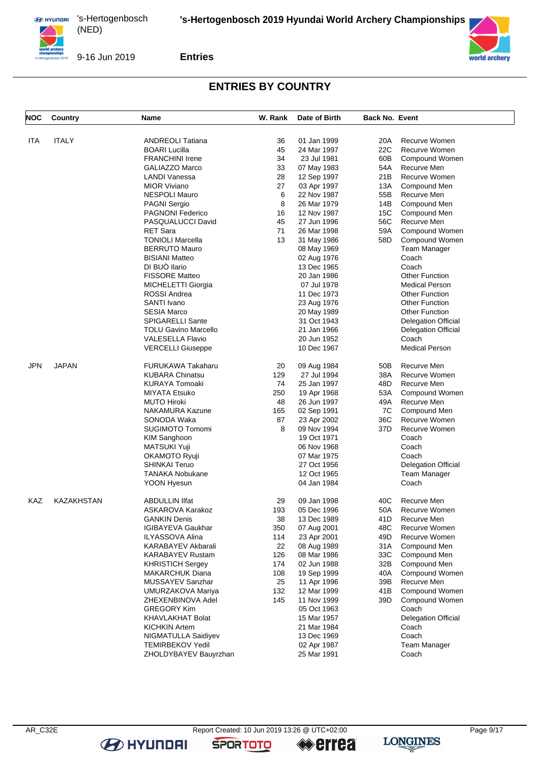

9-16 Jun 2019

**Entries**

## **ENTRIES BY COUNTRY**

| <b>NOC</b> | Country           | Name                        | W. Rank | Date of Birth | <b>Back No. Event</b> |                            |
|------------|-------------------|-----------------------------|---------|---------------|-----------------------|----------------------------|
|            |                   |                             |         |               |                       |                            |
| ITA        | <b>ITALY</b>      | <b>ANDREOLI Tatiana</b>     | 36      | 01 Jan 1999   | 20A                   | Recurve Women              |
|            |                   | <b>BOARI Lucilla</b>        | 45      | 24 Mar 1997   | 22C                   | Recurve Women              |
|            |                   | <b>FRANCHINI Irene</b>      | 34      | 23 Jul 1981   | 60B                   | Compound Women             |
|            |                   | GALIAZZO Marco              | 33      | 07 May 1983   | 54A                   | Recurve Men                |
|            |                   | LANDI Vanessa               | 28      | 12 Sep 1997   | 21B                   | Recurve Women              |
|            |                   | <b>MIOR Viviano</b>         | 27      | 03 Apr 1997   | 13A                   | Compound Men               |
|            |                   | <b>NESPOLI Mauro</b>        | 6       | 22 Nov 1987   | 55B                   | Recurve Men                |
|            |                   | <b>PAGNI Sergio</b>         | 8       | 26 Mar 1979   | 14B                   | Compound Men               |
|            |                   | <b>PAGNONI Federico</b>     | 16      | 12 Nov 1987   | 15C                   | Compound Men               |
|            |                   | PASQUALUCCI David           | 45      | 27 Jun 1996   | 56C                   | Recurve Men                |
|            |                   | <b>RET Sara</b>             | 71      | 26 Mar 1998   | 59A                   | Compound Women             |
|            |                   | <b>TONIOLI Marcella</b>     | 13      | 31 May 1986   | 58D                   | Compound Women             |
|            |                   | <b>BERRUTO Mauro</b>        |         | 08 May 1969   |                       | Team Manager               |
|            |                   | <b>BISIANI Matteo</b>       |         | 02 Aug 1976   |                       | Coach                      |
|            |                   | DI BUÒ llario               |         |               |                       | Coach                      |
|            |                   |                             |         | 13 Dec 1965   |                       |                            |
|            |                   | <b>FISSORE Matteo</b>       |         | 20 Jan 1986   |                       | <b>Other Function</b>      |
|            |                   | MICHELETTI Giorgia          |         | 07 Jul 1978   |                       | <b>Medical Person</b>      |
|            |                   | <b>ROSSI</b> Andrea         |         | 11 Dec 1973   |                       | <b>Other Function</b>      |
|            |                   | SANTI Ivano                 |         | 23 Aug 1976   |                       | <b>Other Function</b>      |
|            |                   | <b>SESIA Marco</b>          |         | 20 May 1989   |                       | Other Function             |
|            |                   | <b>SPIGARELLI Sante</b>     |         | 31 Oct 1943   |                       | <b>Delegation Official</b> |
|            |                   | <b>TOLU Gavino Marcello</b> |         | 21 Jan 1966   |                       | <b>Delegation Official</b> |
|            |                   | <b>VALESELLA Flavio</b>     |         | 20 Jun 1952   |                       | Coach                      |
|            |                   | <b>VERCELLI Giuseppe</b>    |         | 10 Dec 1967   |                       | <b>Medical Person</b>      |
| JPN        | <b>JAPAN</b>      | <b>FURUKAWA Takaharu</b>    | 20      | 09 Aug 1984   | 50B                   | Recurve Men                |
|            |                   | <b>KUBARA Chinatsu</b>      | 129     | 27 Jul 1994   | 38A                   | Recurve Women              |
|            |                   | <b>KURAYA Tomoaki</b>       | 74      | 25 Jan 1997   | 48D                   | Recurve Men                |
|            |                   | <b>MIYATA Etsuko</b>        | 250     | 19 Apr 1968   | 53A                   | Compound Women             |
|            |                   | <b>MUTO Hiroki</b>          | 48      | 26 Jun 1997   | 49A                   | Recurve Men                |
|            |                   | <b>NAKAMURA Kazune</b>      | 165     | 02 Sep 1991   | 7C                    | Compound Men               |
|            |                   | SONODA Waka                 | 87      | 23 Apr 2002   | 36C                   | Recurve Women              |
|            |                   | SUGIMOTO Tomomi             | 8       |               | 37D                   | Recurve Women              |
|            |                   |                             |         | 09 Nov 1994   |                       |                            |
|            |                   | <b>KIM Sanghoon</b>         |         | 19 Oct 1971   |                       | Coach                      |
|            |                   | <b>MATSUKI Yuji</b>         |         | 06 Nov 1968   |                       | Coach                      |
|            |                   | OKAMOTO Ryuji               |         | 07 Mar 1975   |                       | Coach                      |
|            |                   | <b>SHINKAI Teruo</b>        |         | 27 Oct 1956   |                       | <b>Delegation Official</b> |
|            |                   | <b>TANAKA Nobukane</b>      |         | 12 Oct 1965   |                       | Team Manager               |
|            |                   | YOON Hyesun                 |         | 04 Jan 1984   |                       | Coach                      |
| KAZ        | <b>KAZAKHSTAN</b> | <b>ABDULLIN IIfat</b>       | 29      | 09 Jan 1998   | 40C                   | Recurve Men                |
|            |                   | ASKAROVA Karakoz            | 193     | 05 Dec 1996   | 50A                   | Recurve Women              |
|            |                   | <b>GANKIN Denis</b>         | 38      | 13 Dec 1989   |                       | 41D Recurve Men            |
|            |                   | <b>IGIBAYEVA Gaukhar</b>    | 350     | 07 Aug 2001   | 48C                   | Recurve Women              |
|            |                   | <b>ILYASSOVA Alina</b>      | 114     | 23 Apr 2001   | 49D                   | Recurve Women              |
|            |                   | KARABAYEV Akbarali          | 22      | 08 Aug 1989   | 31A                   | Compound Men               |
|            |                   | <b>KARABAYEV Rustam</b>     | 126     | 08 Mar 1986   | 33C                   | Compound Men               |
|            |                   | <b>KHRISTICH Sergey</b>     | 174     | 02 Jun 1988   | 32B                   | Compound Men               |
|            |                   | <b>MAKARCHUK Diana</b>      | 108     | 19 Sep 1999   | 40A                   | Compound Women             |
|            |                   | MUSSAYEV Sanzhar            | 25      | 11 Apr 1996   | 39B                   | Recurve Men                |
|            |                   | UMURZAKOVA Mariya           | 132     | 12 Mar 1999   | 41 B                  | Compound Women             |
|            |                   | ZHEXENBINOVA Adel           | 145     | 11 Nov 1999   | 39D                   | Compound Women             |
|            |                   | <b>GREGORY Kim</b>          |         |               |                       | Coach                      |
|            |                   |                             |         | 05 Oct 1963   |                       |                            |
|            |                   | KHAVLAKHAT Bolat            |         | 15 Mar 1957   |                       | <b>Delegation Official</b> |
|            |                   | <b>KICHKIN Artem</b>        |         | 21 Mar 1984   |                       | Coach                      |
|            |                   | NIGMATULLA Saidiyev         |         | 13 Dec 1969   |                       | Coach                      |
|            |                   | <b>TEMIRBEKOV Yedil</b>     |         | 02 Apr 1987   |                       | Team Manager               |
|            |                   | ZHOLDYBAYEV Bauyrzhan       |         | 25 Mar 1991   |                       | Coach                      |

**B** HYUNDAI

**SPORTOTO** 

**errea** 

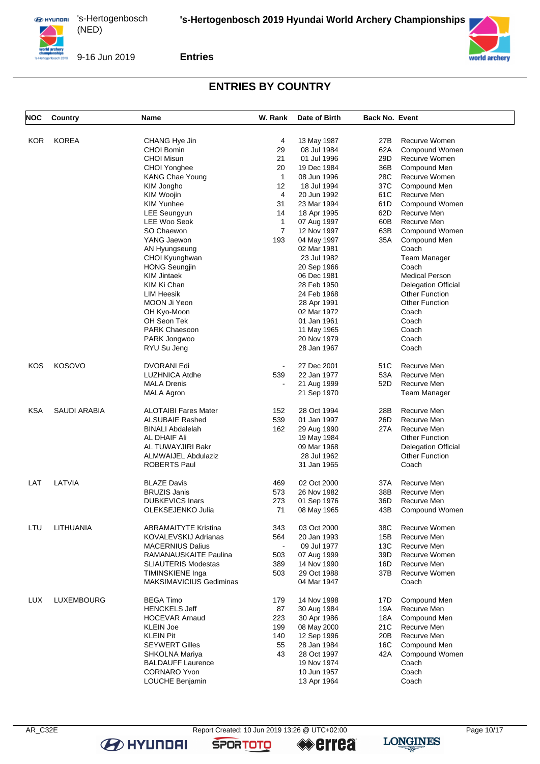

9-16 Jun 2019

**Entries**

# **ENTRIES BY COUNTRY**

| NOC        | Country           | Name                           | W. Rank      | Date of Birth | <b>Back No. Event</b> |                            |
|------------|-------------------|--------------------------------|--------------|---------------|-----------------------|----------------------------|
|            |                   |                                |              |               |                       |                            |
| KOR        | <b>KOREA</b>      | CHANG Hye Jin                  | 4            | 13 May 1987   | 27B                   | Recurve Women              |
|            |                   | <b>CHOI Bomin</b>              | 29           | 08 Jul 1984   | 62A                   | Compound Women             |
|            |                   | <b>CHOI Misun</b>              | 21           | 01 Jul 1996   | 29D                   | Recurve Women              |
|            |                   | CHOI Yonghee                   | 20           | 19 Dec 1984   | 36B                   | Compound Men               |
|            |                   | <b>KANG Chae Young</b>         | $\mathbf{1}$ | 08 Jun 1996   | 28C                   | Recurve Women              |
|            |                   | KIM Jongho                     | 12           | 18 Jul 1994   | 37C                   | Compound Men               |
|            |                   | KIM Woojin                     | 4            | 20 Jun 1992   | 61C                   | Recurve Men                |
|            |                   | <b>KIM Yunhee</b>              | 31           | 23 Mar 1994   | 61D                   | Compound Women             |
|            |                   | <b>LEE Seungyun</b>            | 14           | 18 Apr 1995   | 62D                   | Recurve Men                |
|            |                   | LEE Woo Seok                   | $\mathbf{1}$ | 07 Aug 1997   | 60B                   | Recurve Men                |
|            |                   | SO Chaewon                     | 7            | 12 Nov 1997   | 63B                   | Compound Women             |
|            |                   | YANG Jaewon                    | 193          | 04 May 1997   | 35A                   | Compound Men               |
|            |                   | AN Hyungseung                  |              | 02 Mar 1981   |                       | Coach                      |
|            |                   | CHOI Kyunghwan                 |              | 23 Jul 1982   |                       | <b>Team Manager</b>        |
|            |                   | <b>HONG Seungjin</b>           |              | 20 Sep 1966   |                       | Coach                      |
|            |                   | KIM Jintaek                    |              | 06 Dec 1981   |                       | <b>Medical Person</b>      |
|            |                   | KIM Ki Chan                    |              | 28 Feb 1950   |                       | <b>Delegation Official</b> |
|            |                   | LIM Heesik                     |              | 24 Feb 1968   |                       | <b>Other Function</b>      |
|            |                   | MOON Ji Yeon                   |              | 28 Apr 1991   |                       | <b>Other Function</b>      |
|            |                   | OH Kyo-Moon                    |              | 02 Mar 1972   |                       | Coach                      |
|            |                   | OH Seon Tek                    |              | 01 Jan 1961   |                       | Coach                      |
|            |                   | <b>PARK Chaesoon</b>           |              | 11 May 1965   |                       | Coach                      |
|            |                   | PARK Jongwoo                   |              | 20 Nov 1979   |                       | Coach                      |
|            |                   | RYU Su Jeng                    |              | 28 Jan 1967   |                       | Coach                      |
|            |                   |                                |              |               |                       |                            |
| KOS        | <b>KOSOVO</b>     | DVORANI Edi                    |              | 27 Dec 2001   | 51C                   | Recurve Men                |
|            |                   | <b>LUZHNICA Atdhe</b>          | 539          | 22 Jan 1977   | 53A                   | Recurve Men                |
|            |                   | <b>MALA Drenis</b>             |              | 21 Aug 1999   | 52D                   | Recurve Men                |
|            |                   | <b>MALA Agron</b>              |              | 21 Sep 1970   |                       | Team Manager               |
|            |                   |                                |              |               |                       |                            |
| <b>KSA</b> | SAUDI ARABIA      | <b>ALOTAIBI Fares Mater</b>    | 152          | 28 Oct 1994   | 28B                   | Recurve Men                |
|            |                   | <b>ALSUBAIE Rashed</b>         | 539          | 01 Jan 1997   | 26D                   | Recurve Men                |
|            |                   | <b>BINALI Abdalelah</b>        | 162          | 29 Aug 1990   | 27 A                  | Recurve Men                |
|            |                   | AL DHAIF Ali                   |              | 19 May 1984   |                       | <b>Other Function</b>      |
|            |                   | AL TUWAYJIRI Bakr              |              | 09 Mar 1968   |                       | <b>Delegation Official</b> |
|            |                   | ALMWAIJEL Abdulaziz            |              | 28 Jul 1962   |                       | <b>Other Function</b>      |
|            |                   | ROBERTS Paul                   |              | 31 Jan 1965   |                       | Coach                      |
|            |                   |                                |              |               |                       |                            |
| LAT        | LATVIA            | <b>BLAZE Davis</b>             | 469          | 02 Oct 2000   | 37 A                  | Recurve Men                |
|            |                   | <b>BRUZIS Janis</b>            | 573          | 26 Nov 1982   | 38B                   | Recurve Men                |
|            |                   | <b>DUBKEVICS Inars</b>         | 273          | 01 Sep 1976   | 36D                   | Recurve Men                |
|            |                   | OLEKSEJENKO Julia              | 71           | 08 May 1965   | 43B                   | Compound Women             |
|            |                   |                                |              |               |                       |                            |
| LTU        | LITHUANIA         | <b>ABRAMAITYTE Kristina</b>    | 343          | 03 Oct 2000   | 38C                   | Recurve Women              |
|            |                   | KOVALEVSKIJ Adrianas           | 564          | 20 Jan 1993   | 15B                   | Recurve Men                |
|            |                   | <b>MACERNIUS Dalius</b>        |              | 09 Jul 1977   | 13C                   | Recurve Men                |
|            |                   | RAMANAUSKAITE Paulina          | 503          | 07 Aug 1999   | 39D                   | Recurve Women              |
|            |                   | <b>SLIAUTERIS Modestas</b>     | 389          | 14 Nov 1990   | 16D                   | Recurve Men                |
|            |                   | TIMINSKIENE Inga               | 503          | 29 Oct 1988   | 37B                   | Recurve Women              |
|            |                   | <b>MAKSIMAVICIUS Gediminas</b> |              | 04 Mar 1947   |                       | Coach                      |
|            |                   |                                |              |               |                       |                            |
| LUX        | <b>LUXEMBOURG</b> | <b>BEGA Timo</b>               | 179          | 14 Nov 1998   | 17D                   | Compound Men               |
|            |                   | <b>HENCKELS Jeff</b>           | 87           | 30 Aug 1984   | 19A                   | Recurve Men                |
|            |                   | <b>HOCEVAR Arnaud</b>          | 223          | 30 Apr 1986   | 18A                   | Compound Men               |
|            |                   | <b>KLEIN Joe</b>               | 199          | 08 May 2000   | 21C                   | Recurve Men                |
|            |                   | <b>KLEIN Pit</b>               | 140          | 12 Sep 1996   | 20B                   | Recurve Men                |
|            |                   | <b>SEYWERT Gilles</b>          | 55           | 28 Jan 1984   | 16C                   | Compound Men               |
|            |                   | SHKOLNA Mariya                 | 43           | 28 Oct 1997   | 42A                   | Compound Women             |
|            |                   | <b>BALDAUFF Laurence</b>       |              | 19 Nov 1974   |                       | Coach                      |
|            |                   | <b>CORNARO Yvon</b>            |              | 10 Jun 1957   |                       | Coach                      |
|            |                   | LOUCHE Benjamin                |              | 13 Apr 1964   |                       | Coach                      |
|            |                   |                                |              |               |                       |                            |

**B** HYUNDAI

**SPORTOTO** 

**«errea** 



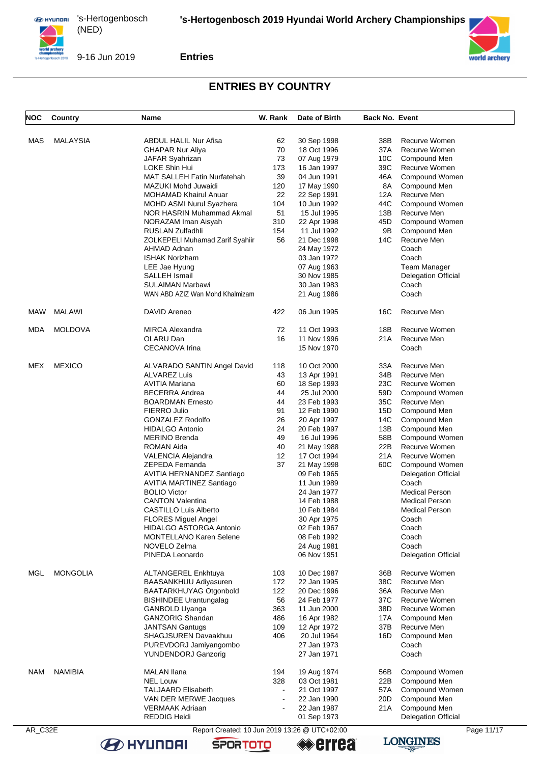

9-16 Jun 2019

**Entries**

#### **ENTRIES BY COUNTRY**

| NOC | <b>Country</b>  | Name                                     | W. Rank | Date of Birth              | <b>Back No. Event</b> |                            |
|-----|-----------------|------------------------------------------|---------|----------------------------|-----------------------|----------------------------|
|     |                 |                                          |         |                            |                       |                            |
| MAS | <b>MALAYSIA</b> | <b>ABDUL HALIL Nur Afisa</b>             | 62      | 30 Sep 1998                | 38B                   | Recurve Women              |
|     |                 | <b>GHAPAR Nur Aliya</b>                  | 70      | 18 Oct 1996                | 37A                   | Recurve Women              |
|     |                 | JAFAR Syahrizan                          | 73      | 07 Aug 1979                | 10C                   | Compound Men               |
|     |                 | LOKE Shin Hui                            | 173     | 16 Jan 1997                | 39C                   | Recurve Women              |
|     |                 | <b>MAT SALLEH Fatin Nurfatehah</b>       | 39      | 04 Jun 1991                | 46A                   | Compound Women             |
|     |                 | MAZUKI Mohd Juwaidi                      | 120     | 17 May 1990                | 8A                    | Compound Men               |
|     |                 | <b>MOHAMAD Khairul Anuar</b>             | 22      | 22 Sep 1991                | 12A                   | Recurve Men                |
|     |                 |                                          | 104     | 10 Jun 1992                | 44C                   | Compound Women             |
|     |                 | MOHD ASMI Nurul Syazhera                 |         | 15 Jul 1995                |                       |                            |
|     |                 | NOR HASRIN Muhammad Akmal                | 51      |                            | 13B                   | Recurve Men                |
|     |                 | NORAZAM Iman Aisyah                      | 310     | 22 Apr 1998                | 45D                   | Compound Women             |
|     |                 | RUSLAN Zulfadhli                         | 154     | 11 Jul 1992                | 9B                    | Compound Men               |
|     |                 | ZOLKEPELI Muhamad Zarif Syahiir          | 56      | 21 Dec 1998                | 14C                   | Recurve Men                |
|     |                 | AHMAD Adnan                              |         | 24 May 1972                |                       | Coach                      |
|     |                 | <b>ISHAK Norizham</b>                    |         | 03 Jan 1972                |                       | Coach                      |
|     |                 | LEE Jae Hyung                            |         | 07 Aug 1963                |                       | Team Manager               |
|     |                 | SALLEH Ismail                            |         | 30 Nov 1985                |                       | <b>Delegation Official</b> |
|     |                 | <b>SULAIMAN Marbawi</b>                  |         | 30 Jan 1983                |                       | Coach                      |
|     |                 | WAN ABD AZIZ Wan Mohd Khalmizam          |         | 21 Aug 1986                |                       | Coach                      |
| MAW | MALAWI          | DAVID Areneo                             | 422     | 06 Jun 1995                | 16C                   | Recurve Men                |
| MDA | <b>MOLDOVA</b>  | <b>MIRCA Alexandra</b>                   | 72      | 11 Oct 1993                | 18B                   | Recurve Women              |
|     |                 | OLARU Dan                                | 16      | 11 Nov 1996                | 21A                   | Recurve Men                |
|     |                 | <b>CECANOVA Irina</b>                    |         | 15 Nov 1970                |                       | Coach                      |
| MEX | <b>MEXICO</b>   | ALVARADO SANTIN Angel David              | 118     | 10 Oct 2000                | 33A                   | Recurve Men                |
|     |                 | <b>ALVAREZ Luis</b>                      | 43      | 13 Apr 1991                | 34B                   | Recurve Men                |
|     |                 | AVITIA Mariana                           | 60      | 18 Sep 1993                | 23C                   | Recurve Women              |
|     |                 | <b>BECERRA Andrea</b>                    | 44      | 25 Jul 2000                | 59D                   | Compound Women             |
|     |                 |                                          | 44      |                            | 35C                   |                            |
|     |                 | <b>BOARDMAN Ernesto</b>                  |         | 23 Feb 1993                |                       | Recurve Men                |
|     |                 | FIERRO Julio                             | 91      | 12 Feb 1990                | 15D                   | Compound Men               |
|     |                 | GONZALEZ Rodolfo                         | 26      | 20 Apr 1997                | 14C                   | Compound Men               |
|     |                 | <b>HIDALGO Antonio</b>                   | 24      | 20 Feb 1997                | 13B                   | Compound Men               |
|     |                 | <b>MERINO Brenda</b>                     | 49      | 16 Jul 1996                | 58B                   | Compound Women             |
|     |                 | ROMAN Aida                               | 40      | 21 May 1988                | 22B                   | Recurve Women              |
|     |                 | VALENCIA Alejandra                       | 12      | 17 Oct 1994                | 21A                   | Recurve Women              |
|     |                 | ZEPEDA Fernanda                          | 37      | 21 May 1998                | 60C                   | Compound Women             |
|     |                 | AVITIA HERNANDEZ Santiago                |         | 09 Feb 1965                |                       | <b>Delegation Official</b> |
|     |                 | AVITIA MARTINEZ Santiago                 |         | 11 Jun 1989                |                       | Coach                      |
|     |                 | <b>BOLIO Victor</b>                      |         | 24 Jan 1977                |                       | <b>Medical Person</b>      |
|     |                 | <b>CANTON Valentina</b>                  |         | 14 Feb 1988                |                       | <b>Medical Person</b>      |
|     |                 | <b>CASTILLO Luis Alberto</b>             |         | 10 Feb 1984                |                       | <b>Medical Person</b>      |
|     |                 | FLORES Miguel Angel                      |         | 30 Apr 1975                |                       | Coach                      |
|     |                 | HIDALGO ASTORGA Antonio                  |         | 02 Feb 1967                |                       | Coach                      |
|     |                 | <b>MONTELLANO Karen Selene</b>           |         | 08 Feb 1992                |                       | Coach                      |
|     |                 | NOVELO Zelma                             |         | 24 Aug 1981                |                       | Coach                      |
|     |                 | PINEDA Leonardo                          |         | 06 Nov 1951                |                       | <b>Delegation Official</b> |
| MGL | <b>MONGOLIA</b> | ALTANGEREL Enkhtuya                      | 103     | 10 Dec 1987                | 36B                   | Recurve Women              |
|     |                 | BAASANKHUU Adiyasuren                    | 172     | 22 Jan 1995                | 38C                   | Recurve Men                |
|     |                 | <b>BAATARKHUYAG Otgonbold</b>            | 122     | 20 Dec 1996                | 36A                   | Recurve Men                |
|     |                 | <b>BISHINDEE Urantungalag</b>            | 56      | 24 Feb 1977                | 37C                   | Recurve Women              |
|     |                 | <b>GANBOLD Uyanga</b>                    | 363     | 11 Jun 2000                | 38D                   | Recurve Women              |
|     |                 | <b>GANZORIG Shandan</b>                  | 486     | 16 Apr 1982                | 17A                   | Compound Men               |
|     |                 | <b>JANTSAN Gantugs</b>                   | 109     | 12 Apr 1972                | 37B                   | Recurve Men                |
|     |                 | <b>SHAGJSUREN Davaakhuu</b>              | 406     | 20 Jul 1964                | 16D                   | Compound Men               |
|     |                 | PUREVDORJ Jamiyangombo                   |         | 27 Jan 1973                |                       | Coach                      |
|     |                 | <b>YUNDENDORJ Ganzorig</b>               |         | 27 Jan 1971                |                       | Coach                      |
| NAM | <b>NAMIBIA</b>  | <b>MALAN Ilana</b>                       | 194     | 19 Aug 1974                | 56B                   | Compound Women             |
|     |                 | <b>NEL Louw</b>                          | 328     | 03 Oct 1981                | 22B                   | Compound Men               |
|     |                 | <b>TALJAARD Elisabeth</b>                |         | 21 Oct 1997                | 57A                   | Compound Women             |
|     |                 |                                          |         |                            | 20D                   | Compound Men               |
|     |                 | VAN DER MERWE Jacques<br>VERMAAK Adriaan |         | 22 Jan 1990<br>22 Jan 1987 | 21 A                  | Compound Men               |
|     |                 |                                          |         |                            |                       | Delegation Official        |
|     |                 | <b>REDDIG Heidi</b>                      |         | 01 Sep 1973                |                       |                            |



**B** HYUNDAI

AR\_C32E Report Created: 10 Jun 2019 13:26 @ UTC+02:00 Page 11/17<br> **AR\_C32E** Page 11/17<br> **AR\_C32E** Page 11/17 **errea** 



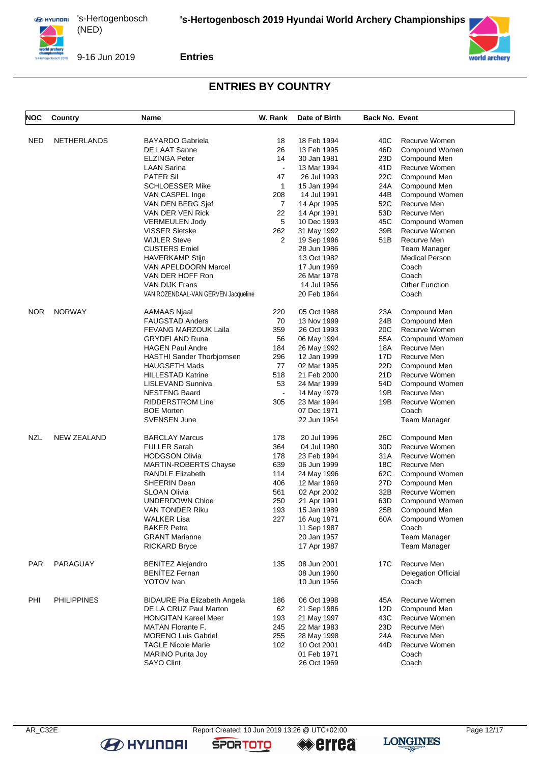

9-16 Jun 2019

**Entries**

## **ENTRIES BY COUNTRY**

| NOC        | Country            | Name                                | W. Rank        | Date of Birth | Back No. Event |                            |
|------------|--------------------|-------------------------------------|----------------|---------------|----------------|----------------------------|
|            |                    |                                     |                |               |                |                            |
| <b>NED</b> | NETHERLANDS        | <b>BAYARDO Gabriela</b>             | 18             | 18 Feb 1994   | 40C            | Recurve Women              |
|            |                    | DE LAAT Sanne                       | 26             | 13 Feb 1995   | 46D            | Compound Women             |
|            |                    | <b>ELZINGA Peter</b>                | 14             | 30 Jan 1981   | 23D            | Compound Men               |
|            |                    | <b>LAAN Sarina</b>                  |                | 13 Mar 1994   | 41D            | Recurve Women              |
|            |                    | <b>PATER Sil</b>                    | 47             | 26 Jul 1993   | 22C            | Compound Men               |
|            |                    | <b>SCHLOESSER Mike</b>              | $\mathbf{1}$   | 15 Jan 1994   | 24A            | Compound Men               |
|            |                    | VAN CASPEL Inge                     | 208            | 14 Jul 1991   | 44B            | Compound Women             |
|            |                    | VAN DEN BERG Sjef                   | $\overline{7}$ | 14 Apr 1995   | 52C            | Recurve Men                |
|            |                    | VAN DER VEN Rick                    | 22             | 14 Apr 1991   | 53D            | Recurve Men                |
|            |                    | <b>VERMEULEN Jody</b>               | 5              | 10 Dec 1993   | 45C            | Compound Women             |
|            |                    | <b>VISSER Sietske</b>               | 262            | 31 May 1992   | 39B            | Recurve Women              |
|            |                    | <b>WIJLER Steve</b>                 | 2              | 19 Sep 1996   | 51B            | Recurve Men                |
|            |                    | <b>CUSTERS Emiel</b>                |                | 28 Jun 1986   |                | Team Manager               |
|            |                    | <b>HAVERKAMP Stijn</b>              |                | 13 Oct 1982   |                | <b>Medical Person</b>      |
|            |                    | VAN APELDOORN Marcel                |                | 17 Jun 1969   |                | Coach                      |
|            |                    | VAN DER HOFF Ron                    |                | 26 Mar 1978   |                | Coach                      |
|            |                    | <b>VAN DIJK Frans</b>               |                | 14 Jul 1956   |                | <b>Other Function</b>      |
|            |                    | VAN ROZENDAAL-VAN GERVEN Jacqueline |                | 20 Feb 1964   |                | Coach                      |
| <b>NOR</b> | <b>NORWAY</b>      | AAMAAS Njaal                        | 220            | 05 Oct 1988   | 23A            | Compound Men               |
|            |                    | <b>FAUGSTAD Anders</b>              | 70             | 13 Nov 1999   | 24B            | Compound Men               |
|            |                    | <b>FEVANG MARZOUK Laila</b>         | 359            | 26 Oct 1993   | 20C            | Recurve Women              |
|            |                    | <b>GRYDELAND Runa</b>               | 56             | 06 May 1994   | 55A            | Compound Women             |
|            |                    | <b>HAGEN Paul Andre</b>             | 184            | 26 May 1992   | 18A            | Recurve Men                |
|            |                    | HASTHI Sander Thorbjornsen          | 296            | 12 Jan 1999   | 17D            | Recurve Men                |
|            |                    | <b>HAUGSETH Mads</b>                | 77             | 02 Mar 1995   | 22D            | Compound Men               |
|            |                    | <b>HILLESTAD Katrine</b>            | 518            | 21 Feb 2000   | 21D            | Recurve Women              |
|            |                    | LISLEVAND Sunniva                   | 53             | 24 Mar 1999   | 54D            | Compound Women             |
|            |                    | <b>NESTENG Baard</b>                |                | 14 May 1979   | 19B            | Recurve Men                |
|            |                    | <b>RIDDERSTROM Line</b>             | 305            | 23 Mar 1994   | 19B            | Recurve Women              |
|            |                    | <b>BOE Morten</b>                   |                | 07 Dec 1971   |                | Coach                      |
|            |                    | SVENSEN June                        |                | 22 Jun 1954   |                | <b>Team Manager</b>        |
| <b>NZL</b> | <b>NEW ZEALAND</b> | <b>BARCLAY Marcus</b>               | 178            | 20 Jul 1996   | 26C            | Compound Men               |
|            |                    | <b>FULLER Sarah</b>                 | 364            | 04 Jul 1980   | 30D            | Recurve Women              |
|            |                    | <b>HODGSON Olivia</b>               | 178            | 23 Feb 1994   | 31 A           | Recurve Women              |
|            |                    | <b>MARTIN-ROBERTS Chayse</b>        | 639            | 06 Jun 1999   | 18C            | Recurve Men                |
|            |                    | <b>RANDLE Elizabeth</b>             | 114            | 24 May 1996   | 62C            | Compound Women             |
|            |                    | SHEERIN Dean                        | 406            | 12 Mar 1969   | 27D            | Compound Men               |
|            |                    | <b>SLOAN Olivia</b>                 | 561            | 02 Apr 2002   | 32B            | Recurve Women              |
|            |                    | UNDERDOWN Chloe                     | 250            | 21 Apr 1991   | 63D            | Compound Women             |
|            |                    |                                     | 193            |               | 25B            | Compound Men               |
|            |                    | VAN TONDER Riku                     | 227            | 15 Jan 1989   |                |                            |
|            |                    | <b>WALKER Lisa</b>                  |                | 16 Aug 1971   | 60A            | Compound Women             |
|            |                    | <b>BAKER Petra</b>                  |                | 11 Sep 1987   |                | Coach                      |
|            |                    | <b>GRANT Marianne</b>               |                | 20 Jan 1957   |                | <b>Team Manager</b>        |
|            |                    | <b>RICKARD Bryce</b>                |                | 17 Apr 1987   |                | <b>Team Manager</b>        |
| PAR        | PARAGUAY           | <b>BENÍTEZ Alejandro</b>            | 135            | 08 Jun 2001   | 17C            | Recurve Men                |
|            |                    | <b>BENÍTEZ Fernan</b>               |                | 08 Jun 1960   |                | <b>Delegation Official</b> |
|            |                    | <b>YOTOV</b> Ivan                   |                | 10 Jun 1956   |                | Coach                      |
| PHI        | <b>PHILIPPINES</b> | <b>BIDAURE Pia Elizabeth Angela</b> | 186            | 06 Oct 1998   | 45A            | Recurve Women              |
|            |                    | DE LA CRUZ Paul Marton              | 62             | 21 Sep 1986   | 12D            | Compound Men               |
|            |                    | <b>HONGITAN Kareel Meer</b>         | 193            | 21 May 1997   | 43C            | Recurve Women              |
|            |                    | <b>MATAN Florante F.</b>            | 245            | 22 Mar 1983   | 23D            | Recurve Men                |
|            |                    | <b>MORENO Luis Gabriel</b>          | 255            | 28 May 1998   | 24A            | Recurve Men                |
|            |                    | <b>TAGLE Nicole Marie</b>           | 102            | 10 Oct 2001   | 44D            | Recurve Women              |
|            |                    | <b>MARINO Purita Joy</b>            |                | 01 Feb 1971   |                | Coach                      |
|            |                    | <b>SAYO Clint</b>                   |                | 26 Oct 1969   |                | Coach                      |

**B** HYUNDAI

**SPORTOTO** 

**errea** 

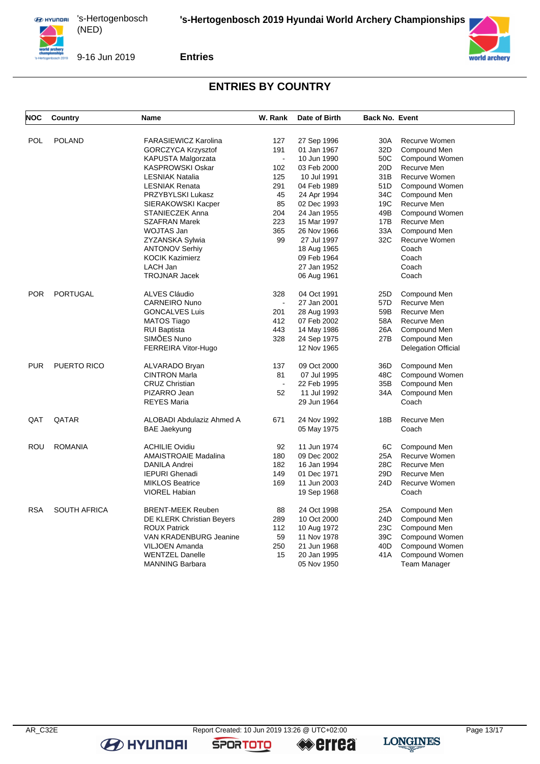

9-16 Jun 2019

**Entries**

## **ENTRIES BY COUNTRY**

| <b>NOC</b> | Country             | Name                        | W. Rank              | Date of Birth              | Back No. Event  |                                |
|------------|---------------------|-----------------------------|----------------------|----------------------------|-----------------|--------------------------------|
|            |                     |                             |                      |                            |                 |                                |
| POL        | <b>POLAND</b>       | <b>FARASIEWICZ Karolina</b> | 127                  | 27 Sep 1996                | 30A             | Recurve Women                  |
|            |                     | GORCZYCA Krzysztof          | 191                  | 01 Jan 1967                | 32D             | Compound Men                   |
|            |                     | KAPUSTA Malgorzata          | $\blacksquare$       | 10 Jun 1990                | 50C             | Compound Women                 |
|            |                     | <b>KASPROWSKI Oskar</b>     | 102                  | 03 Feb 2000                | 20 <sub>D</sub> | Recurve Men                    |
|            |                     | <b>LESNIAK Natalia</b>      | 125                  | 10 Jul 1991                | 31 <sub>B</sub> | Recurve Women                  |
|            |                     | <b>LESNIAK Renata</b>       | 291                  | 04 Feb 1989                | 51D             | Compound Women                 |
|            |                     | PRZYBYLSKI Lukasz           | 45                   | 24 Apr 1994                | 34C             | Compound Men                   |
|            |                     | SIERAKOWSKI Kacper          | 85                   | 02 Dec 1993                | 19C             | Recurve Men                    |
|            |                     | <b>STANIECZEK Anna</b>      | 204                  | 24 Jan 1955                | 49B             | Compound Women                 |
|            |                     | <b>SZAFRAN Marek</b>        | 223                  | 15 Mar 1997                | 17B             | Recurve Men                    |
|            |                     | <b>WOJTAS Jan</b>           | 365                  | 26 Nov 1966                | 33A             | Compound Men                   |
|            |                     | ZYZANSKA Sylwia             | 99                   | 27 Jul 1997                | 32C             | Recurve Women                  |
|            |                     | <b>ANTONOV Serhiy</b>       |                      | 18 Aug 1965                |                 | Coach                          |
|            |                     | <b>KOCIK Kazimierz</b>      |                      | 09 Feb 1964                |                 | Coach                          |
|            |                     | LACH Jan                    |                      | 27 Jan 1952                |                 | Coach                          |
|            |                     | <b>TROJNAR Jacek</b>        |                      | 06 Aug 1961                |                 | Coach                          |
| POR        | <b>PORTUGAL</b>     | ALVES Cláudio               | 328                  | 04 Oct 1991                | 25D             | Compound Men                   |
|            |                     | <b>CARNEIRO Nuno</b>        |                      | 27 Jan 2001                | 57D             | Recurve Men                    |
|            |                     | <b>GONCALVES Luis</b>       | 201                  | 28 Aug 1993                | 59B             | Recurve Men                    |
|            |                     | <b>MATOS Tiago</b>          | 412                  | 07 Feb 2002                | 58A             | Recurve Men                    |
|            |                     | <b>RUI Baptista</b>         | 443                  | 14 May 1986                | 26A             | Compound Men                   |
|            |                     | SIMÕES Nuno                 | 328                  | 24 Sep 1975                | 27B             | Compound Men                   |
|            |                     | FERREIRA Vitor-Hugo         |                      | 12 Nov 1965                |                 | Delegation Official            |
| PUR        | PUERTO RICO         | ALVARADO Bryan              | 137                  | 09 Oct 2000                | 36D             | Compound Men                   |
|            |                     | <b>CINTRON Marla</b>        | 81                   | 07 Jul 1995                | 48C             | Compound Women                 |
|            |                     | <b>CRUZ Christian</b>       | $\ddot{\phantom{a}}$ | 22 Feb 1995                | 35B             | Compound Men                   |
|            |                     | PIZARRO Jean                | 52                   | 11 Jul 1992                | 34A             | Compound Men                   |
|            |                     | <b>REYES Maria</b>          |                      | 29 Jun 1964                |                 | Coach                          |
| QAT        | QATAR               | ALOBADI Abdulaziz Ahmed A   | 671                  | 24 Nov 1992                | 18B             | Recurve Men                    |
|            |                     | <b>BAE Jaekyung</b>         |                      | 05 May 1975                |                 | Coach                          |
|            |                     |                             |                      |                            |                 |                                |
| <b>ROU</b> | <b>ROMANIA</b>      | <b>ACHILIE Ovidiu</b>       | 92                   | 11 Jun 1974                | 6C              | Compound Men                   |
|            |                     | AMAISTROAIE Madalina        | 180                  | 09 Dec 2002                | 25A             | Recurve Women                  |
|            |                     | <b>DANILA Andrei</b>        | 182                  | 16 Jan 1994                | 28C             | Recurve Men                    |
|            |                     | <b>IEPURI Ghenadi</b>       | 149                  | 01 Dec 1971                | 29 <sub>D</sub> | Recurve Men                    |
|            |                     | <b>MIKLOS Beatrice</b>      | 169                  | 11 Jun 2003                | 24D             | Recurve Women                  |
|            |                     | <b>VIOREL Habian</b>        |                      | 19 Sep 1968                |                 | Coach                          |
| <b>RSA</b> | <b>SOUTH AFRICA</b> | <b>BRENT-MEEK Reuben</b>    | 88                   | 24 Oct 1998                | 25A             | Compound Men                   |
|            |                     | DE KLERK Christian Beyers   | 289                  | 10 Oct 2000                | 24D             | Compound Men                   |
|            |                     | <b>ROUX Patrick</b>         | 112                  |                            | 23C             |                                |
|            |                     | VAN KRADENBURG Jeanine      | 59                   | 10 Aug 1972<br>11 Nov 1978 | 39C             | Compound Men<br>Compound Women |
|            |                     |                             | 250                  |                            | 40D             |                                |
|            |                     | <b>VILJOEN Amanda</b>       |                      | 21 Jun 1968                |                 | Compound Women                 |
|            |                     | <b>WENTZEL Danelle</b>      | 15                   | 20 Jan 1995                | 41 A            | Compound Women                 |
|            |                     | <b>MANNING Barbara</b>      |                      | 05 Nov 1950                |                 | <b>Team Manager</b>            |



**B** HYUNDAI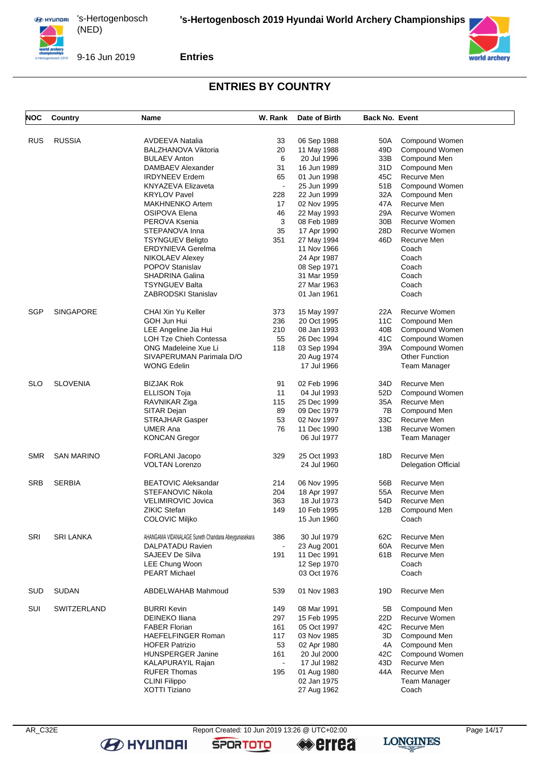

9-16 Jun 2019

**Entries**

#### **ENTRIES BY COUNTRY**

| NOC        | Country            | Name                                               | W. Rank | Date of Birth | <b>Back No. Event</b> |                            |
|------------|--------------------|----------------------------------------------------|---------|---------------|-----------------------|----------------------------|
|            |                    |                                                    |         |               |                       |                            |
| <b>RUS</b> | <b>RUSSIA</b>      | <b>AVDEEVA Natalia</b>                             | 33      | 06 Sep 1988   | 50A                   | Compound Women             |
|            |                    | <b>BALZHANOVA Viktoria</b>                         | 20      | 11 May 1988   | 49D                   | Compound Women             |
|            |                    | <b>BULAEV Anton</b>                                | 6       | 20 Jul 1996   | 33B                   | Compound Men               |
|            |                    | DAMBAEV Alexander                                  | 31      | 16 Jun 1989   | 31D                   | Compound Men               |
|            |                    | <b>IRDYNEEV Erdem</b>                              | 65      | 01 Jun 1998   | 45C                   | Recurve Men                |
|            |                    | KNYAZEVA Elizaveta                                 |         | 25 Jun 1999   | 51B                   | Compound Women             |
|            |                    | <b>KRYLOV Pavel</b>                                | 228     | 22 Jun 1999   | 32A                   | Compound Men               |
|            |                    | <b>MAKHNENKO Artem</b>                             | 17      | 02 Nov 1995   | 47A                   | Recurve Men                |
|            |                    |                                                    |         |               | 29A                   | Recurve Women              |
|            |                    | OSIPOVA Elena                                      | 46      | 22 May 1993   |                       |                            |
|            |                    | PEROVA Ksenia                                      | 3       | 08 Feb 1989   | 30B                   | Recurve Women              |
|            |                    | STEPANOVA Inna                                     | 35      | 17 Apr 1990   | 28D                   | Recurve Women              |
|            |                    | <b>TSYNGUEV Beligto</b>                            | 351     | 27 May 1994   | 46D                   | Recurve Men                |
|            |                    | <b>ERDYNIEVA Gerelma</b>                           |         | 11 Nov 1966   |                       | Coach                      |
|            |                    | <b>NIKOLAEV Alexey</b>                             |         | 24 Apr 1987   |                       | Coach                      |
|            |                    | <b>POPOV Stanislav</b>                             |         | 08 Sep 1971   |                       | Coach                      |
|            |                    | <b>SHADRINA Galina</b>                             |         | 31 Mar 1959   |                       | Coach                      |
|            |                    | <b>TSYNGUEV Balta</b>                              |         | 27 Mar 1963   |                       | Coach                      |
|            |                    | <b>ZABRODSKI Stanislav</b>                         |         | 01 Jan 1961   |                       | Coach                      |
| SGP        | <b>SINGAPORE</b>   | CHAI Xin Yu Keller                                 | 373     | 15 May 1997   | 22A                   | Recurve Women              |
|            |                    | GOH Jun Hui                                        | 236     | 20 Oct 1995   | 11C                   | Compound Men               |
|            |                    | LEE Angeline Jia Hui                               | 210     | 08 Jan 1993   | 40B                   | Compound Women             |
|            |                    | <b>LOH Tze Chieh Contessa</b>                      | 55      | 26 Dec 1994   | 41C                   | Compound Women             |
|            |                    | ONG Madeleine Xue Li                               | 118     | 03 Sep 1994   | 39A                   | Compound Women             |
|            |                    | SIVAPERUMAN Parimala D/O                           |         | 20 Aug 1974   |                       | <b>Other Function</b>      |
|            |                    | <b>WONG Edelin</b>                                 |         | 17 Jul 1966   |                       | Team Manager               |
|            |                    |                                                    |         |               |                       |                            |
| <b>SLO</b> | <b>SLOVENIA</b>    | <b>BIZJAK Rok</b>                                  | 91      | 02 Feb 1996   | 34D                   | Recurve Men                |
|            |                    | <b>ELLISON Toja</b>                                | 11      | 04 Jul 1993   | 52D                   | Compound Women             |
|            |                    | RAVNIKAR Ziga                                      | 115     | 25 Dec 1999   | 35A                   | Recurve Men                |
|            |                    | SITAR Dejan                                        | 89      | 09 Dec 1979   | 7В                    | Compound Men               |
|            |                    | <b>STRAJHAR Gasper</b>                             | 53      | 02 Nov 1997   | 33C                   | Recurve Men                |
|            |                    | <b>UMER Ana</b>                                    | 76      | 11 Dec 1990   | 13B                   | Recurve Women              |
|            |                    | <b>KONCAN Gregor</b>                               |         | 06 Jul 1977   |                       | Team Manager               |
|            |                    |                                                    |         |               |                       |                            |
| <b>SMR</b> | <b>SAN MARINO</b>  | <b>FORLANI Jacopo</b>                              | 329     | 25 Oct 1993   | 18D                   | Recurve Men                |
|            |                    | <b>VOLTAN Lorenzo</b>                              |         | 24 Jul 1960   |                       | <b>Delegation Official</b> |
| <b>SRB</b> | <b>SERBIA</b>      | <b>BEATOVIC Aleksandar</b>                         | 214     | 06 Nov 1995   | 56B                   | Recurve Men                |
|            |                    | STEFANOVIC Nikola                                  | 204     | 18 Apr 1997   | 55A                   | Recurve Men                |
|            |                    | VELIMIROVIC Jovica                                 | 363     | 18 Jul 1973   | 54D                   | Recurve Men                |
|            |                    | <b>ZIKIC Stefan</b>                                | 149     | 10 Feb 1995   | 12B                   | Compound Men               |
|            |                    | COLOVIC Miljko                                     |         | 15 Jun 1960   |                       | Coach                      |
| SRI        | <b>SRI LANKA</b>   | AHANGAMA VIDANALAGE Suneth Chandana Abeygunasekara | 386     | 30 Jul 1979   | 62C                   | Recurve Men                |
|            |                    | DALPATADU Ravien                                   |         | 23 Aug 2001   | 60A                   | Recurve Men                |
|            |                    | SAJEEV De Silva                                    | 191     | 11 Dec 1991   | 61B                   | Recurve Men                |
|            |                    | LEE Chung Woon                                     |         | 12 Sep 1970   |                       | Coach                      |
|            |                    | <b>PEART Michael</b>                               |         | 03 Oct 1976   |                       | Coach                      |
|            |                    |                                                    |         |               |                       |                            |
| SUD        | <b>SUDAN</b>       | ABDELWAHAB Mahmoud                                 | 539     | 01 Nov 1983   | 19D                   | Recurve Men                |
| SUI        | <b>SWITZERLAND</b> | <b>BURRI Kevin</b>                                 | 149     | 08 Mar 1991   | 5B                    | Compound Men               |
|            |                    | <b>DEINEKO Iliana</b>                              | 297     | 15 Feb 1995   | 22D                   | Recurve Women              |
|            |                    | <b>FABER Florian</b>                               | 161     | 05 Oct 1997   | 42C                   | Recurve Men                |
|            |                    | <b>HAEFELFINGER Roman</b>                          | 117     | 03 Nov 1985   | 3D                    | Compound Men               |
|            |                    | <b>HOFER Patrizio</b>                              | 53      | 02 Apr 1980   | 4A                    | Compound Men               |
|            |                    | <b>HUNSPERGER Janine</b>                           | 161     | 20 Jul 2000   | 42C                   | Compound Women             |
|            |                    | KALAPURAYIL Rajan                                  |         | 17 Jul 1982   | 43D                   | Recurve Men                |
|            |                    | <b>RUFER Thomas</b>                                | 195     | 01 Aug 1980   | 44A                   | Recurve Men                |
|            |                    | <b>CLINI Filippo</b>                               |         | 02 Jan 1975   |                       | Team Manager               |
|            |                    | XOTTI Tiziano                                      |         | 27 Aug 1962   |                       | Coach                      |
|            |                    |                                                    |         |               |                       |                            |



**B** HYUNDAI

AR\_C32E Report Created: 10 Jun 2019 13:26 @ UTC+02:00 Page 14/17<br> **AR\_C32E** Page 14/17<br> **AR\_C32E** Page 14/17

**SPORTOTO** 

**errea** 

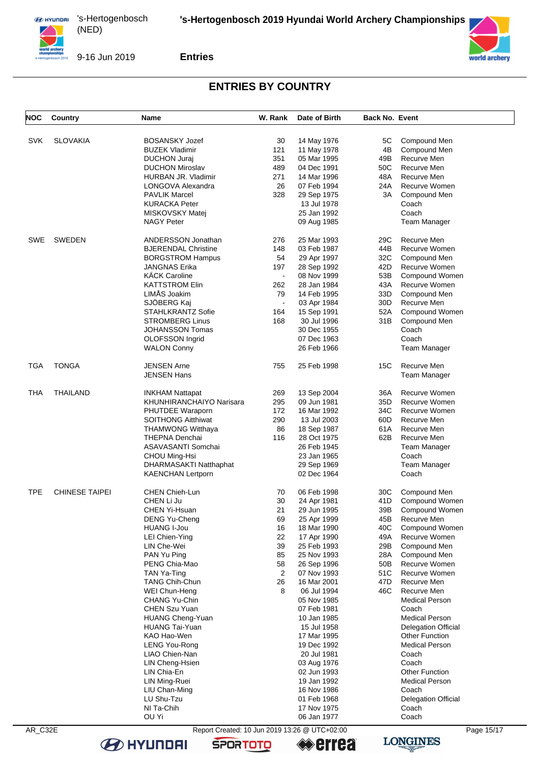

9-16 Jun 2019

**Entries**

#### **ENTRIES BY COUNTRY**

| NOC        | Country               | Name                       | W. Rank        | Date of Birth | <b>Back No. Event</b> |                                |
|------------|-----------------------|----------------------------|----------------|---------------|-----------------------|--------------------------------|
|            |                       |                            |                |               |                       |                                |
| <b>SVK</b> | <b>SLOVAKIA</b>       | <b>BOSANSKY Jozef</b>      | 30             | 14 May 1976   | 5C                    | Compound Men                   |
|            |                       | <b>BUZEK Vladimir</b>      | 121            | 11 May 1978   | 4B                    | Compound Men                   |
|            |                       | <b>DUCHON Juraj</b>        | 351            | 05 Mar 1995   | 49B                   | Recurve Men                    |
|            |                       | <b>DUCHON Miroslav</b>     | 489            | 04 Dec 1991   | 50C                   | Recurve Men                    |
|            |                       | HURBAN JR. Vladimir        | 271            | 14 Mar 1996   | 48A                   | Recurve Men                    |
|            |                       | LONGOVA Alexandra          | 26             | 07 Feb 1994   | 24A                   | Recurve Women                  |
|            |                       | <b>PAVLIK Marcel</b>       | 328            | 29 Sep 1975   | 3A                    | Compound Men                   |
|            |                       | <b>KURACKA Peter</b>       |                | 13 Jul 1978   |                       | Coach                          |
|            |                       | MISKOVSKY Matej            |                | 25 Jan 1992   |                       | Coach                          |
|            |                       | <b>NAGY Peter</b>          |                | 09 Aug 1985   |                       | Team Manager                   |
|            |                       |                            |                |               |                       |                                |
| SWE        | <b>SWEDEN</b>         | <b>ANDERSSON Jonathan</b>  | 276            | 25 Mar 1993   | 29C                   | Recurve Men                    |
|            |                       | <b>BJERENDAL Christine</b> | 148            | 03 Feb 1987   | 44B                   | Recurve Women                  |
|            |                       | <b>BORGSTROM Hampus</b>    | 54             | 29 Apr 1997   | 32C                   | Compound Men                   |
|            |                       | JANGNAS Erika              | 197            | 28 Sep 1992   | 42D                   | Recurve Women                  |
|            |                       | <b>KÄCK Caroline</b>       | $\blacksquare$ | 08 Nov 1999   | 53B                   | Compound Women                 |
|            |                       | <b>KATTSTROM Elin</b>      | 262            | 28 Jan 1984   | 43A                   | Recurve Women                  |
|            |                       | LIMÅS Joakim               | 79             | 14 Feb 1995   | 33D                   | Compound Men                   |
|            |                       | SJÖBERG Kaj                | $\blacksquare$ | 03 Apr 1984   | 30D                   | Recurve Men                    |
|            |                       | <b>STAHLKRANTZ Sofie</b>   | 164            | 15 Sep 1991   | 52A                   | Compound Women                 |
|            |                       | <b>STROMBERG Linus</b>     | 168            | 30 Jul 1996   | 31 B                  | Compound Men                   |
|            |                       | JOHANSSON Tomas            |                | 30 Dec 1955   |                       | Coach                          |
|            |                       | OLOFSSON Ingrid            |                | 07 Dec 1963   |                       | Coach                          |
|            |                       | <b>WALON Conny</b>         |                | 26 Feb 1966   |                       | <b>Team Manager</b>            |
| TGA        | <b>TONGA</b>          | <b>JENSEN Arne</b>         | 755            | 25 Feb 1998   | 15C                   | Recurve Men                    |
|            |                       | <b>JENSEN Hans</b>         |                |               |                       | <b>Team Manager</b>            |
|            |                       |                            |                |               |                       |                                |
| THA        | THAILAND              | <b>INKHAM Nattapat</b>     | 269            | 13 Sep 2004   | 36A                   | Recurve Women                  |
|            |                       | KHUNHIRANCHAIYO Narisara   | 295            | 09 Jun 1981   | 35D                   | Recurve Women                  |
|            |                       | PHUTDEE Waraporn           | 172            | 16 Mar 1992   | 34C                   | Recurve Women                  |
|            |                       | <b>SOITHONG Aitthiwat</b>  | 290            | 13 Jul 2003   | 60D                   | Recurve Men                    |
|            |                       | <b>THAMWONG Witthaya</b>   | 86             | 18 Sep 1987   | 61 A                  | Recurve Men                    |
|            |                       | THEPNA Denchai             | 116            | 28 Oct 1975   | 62B                   | Recurve Men                    |
|            |                       | ASAVASANTI Somchai         |                | 26 Feb 1945   |                       | Team Manager                   |
|            |                       | CHOU Ming-Hsi              |                | 23 Jan 1965   |                       | Coach                          |
|            |                       | DHARMASAKTI Natthaphat     |                | 29 Sep 1969   |                       | Team Manager                   |
|            |                       | <b>KAENCHAN Lertporn</b>   |                | 02 Dec 1964   |                       | Coach                          |
| <b>TPE</b> | <b>CHINESE TAIPEI</b> | <b>CHEN Chieh-Lun</b>      | 70             | 06 Feb 1998   | 30C                   | Compound Men                   |
|            |                       | CHEN Li Ju                 | 30             | 24 Apr 1981   | 41D                   | Compound Women                 |
|            |                       | <b>CHEN Yi-Hsuan</b>       | 21             | 29 Jun 1995   | 39B                   | Compound Women                 |
|            |                       | DENG Yu-Cheng              | 69             | 25 Apr 1999   | 45B                   | Recurve Men                    |
|            |                       | <b>HUANG I-Jou</b>         | 16             | 18 Mar 1990   | 40C                   | Compound Women                 |
|            |                       | LEI Chien-Ying             | 22             | 17 Apr 1990   | 49A                   | Recurve Women                  |
|            |                       | LIN Che-Wei                | 39             | 25 Feb 1993   | 29B                   | Compound Men                   |
|            |                       | PAN Yu Ping                | 85             | 25 Nov 1993   | 28A                   | Compound Men                   |
|            |                       | PENG Chia-Mao              | 58             | 26 Sep 1996   | 50B                   | Recurve Women                  |
|            |                       | TAN Ya-Ting                | $\overline{2}$ | 07 Nov 1993   | 51C                   | Recurve Women                  |
|            |                       | <b>TANG Chih-Chun</b>      | 26             | 16 Mar 2001   | 47D                   | Recurve Men                    |
|            |                       | WEI Chun-Heng              | 8              | 06 Jul 1994   | 46C                   | Recurve Men                    |
|            |                       | CHANG Yu-Chin              |                | 05 Nov 1985   |                       | <b>Medical Person</b>          |
|            |                       | CHEN Szu Yuan              |                | 07 Feb 1981   |                       | Coach                          |
|            |                       | <b>HUANG Cheng-Yuan</b>    |                | 10 Jan 1985   |                       | <b>Medical Person</b>          |
|            |                       | HUANG Tai-Yuan             |                | 15 Jul 1958   |                       | <b>Delegation Official</b>     |
|            |                       | KAO Hao-Wen                |                | 17 Mar 1995   |                       | <b>Other Function</b>          |
|            |                       | <b>LENG You-Rong</b>       |                | 19 Dec 1992   |                       | <b>Medical Person</b>          |
|            |                       | LIAO Chien-Nan             |                | 20 Jul 1981   |                       | Coach                          |
|            |                       | LIN Cheng-Hsien            |                |               |                       |                                |
|            |                       |                            |                | 03 Aug 1976   |                       | Coach<br><b>Other Function</b> |
|            |                       | LIN Chia-En                |                | 02 Jun 1993   |                       |                                |
|            |                       | LIN Ming-Ruei              |                | 19 Jan 1992   |                       | <b>Medical Person</b>          |
|            |                       | LIU Chan-Ming              |                | 16 Nov 1986   |                       | Coach                          |
|            |                       | LU Shu-Tzu                 |                | 01 Feb 1968   |                       | <b>Delegation Official</b>     |
|            |                       | NI Ta-Chih                 |                | 17 Nov 1975   |                       | Coach                          |
|            |                       | OU Yi                      |                | 06 Jan 1977   |                       | Coach                          |

**B** HYUNDAI

AR\_C32E Report Created: 10 Jun 2019 13:26 @ UTC+02:00 Page 15/17<br> **AR\_C32E** Page 15/17<br> **AR\_C32E** Page 15/17

**SPORTOTO** 

**«errea** 



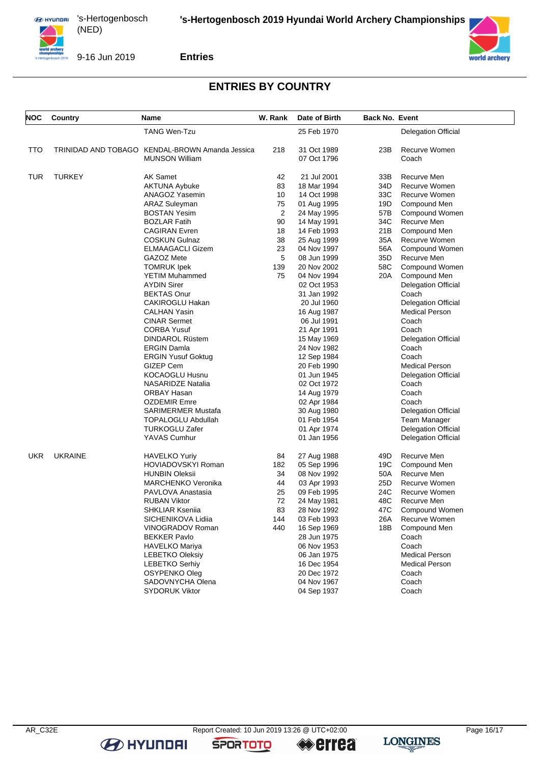



9-16 Jun 2019

**Entries**

#### **ENTRIES BY COUNTRY**

| <b>TANG Wen-Tzu</b><br>25 Feb 1970<br><b>Delegation Official</b><br>TRINIDAD AND TOBAGO KENDAL-BROWN Amanda Jessica<br>TTO<br>218<br>31 Oct 1989<br>23B<br>Recurve Women<br><b>MUNSON William</b><br>07 Oct 1796<br>Coach<br><b>TURKEY</b><br><b>AK Samet</b><br>42<br>TUR<br>21 Jul 2001<br>33B<br>Recurve Men<br>83<br>34D<br><b>Recurve Women</b><br><b>AKTUNA Aybuke</b><br>18 Mar 1994<br>33C<br>ANAGOZ Yasemin<br>10<br>14 Oct 1998<br>Recurve Women<br>75<br>19D<br>ARAZ Suleyman<br>01 Aug 1995<br>Compound Men<br>2<br><b>BOSTAN Yesim</b><br>24 May 1995<br>57B<br>Compound Women<br>34C<br>Recurve Men<br><b>BOZLAR Fatih</b><br>90<br>14 May 1991<br>18<br>14 Feb 1993<br>21B<br><b>CAGIRAN Evren</b><br>Compound Men<br>38<br>35A<br>Recurve Women<br><b>COSKUN Gulnaz</b><br>25 Aug 1999<br>23<br>56A<br><b>ELMAAGACLI Gizem</b><br>04 Nov 1997<br>Compound Women<br>5<br>GAZOZ Mete<br>08 Jun 1999<br>35D<br>Recurve Men<br>139<br>58C<br>TOMRUK Ipek<br>20 Nov 2002<br>Compound Women<br>75<br>20A<br>YETIM Muhammed<br>04 Nov 1994<br>Compound Men<br>AYDIN Sirer<br>02 Oct 1953<br><b>Delegation Official</b><br><b>BEKTAS Onur</b><br>31 Jan 1992<br>Coach<br>CAKIROGLU Hakan<br>20 Jul 1960<br><b>Delegation Official</b><br>CALHAN Yasin<br><b>Medical Person</b><br>16 Aug 1987<br><b>CINAR Sermet</b><br>06 Jul 1991<br>Coach<br><b>CORBA Yusuf</b><br>21 Apr 1991<br>Coach<br>DINDAROL Rüstem<br><b>Delegation Official</b><br>15 May 1969<br><b>ERGIN Damla</b><br>24 Nov 1982<br>Coach<br>Coach<br><b>ERGIN Yusuf Goktug</b><br>12 Sep 1984<br><b>GIZEP Cem</b><br><b>Medical Person</b><br>20 Feb 1990<br>KOCAOGLU Husnu<br>01 Jun 1945<br><b>Delegation Official</b><br><b>NASARIDZE Natalia</b><br>02 Oct 1972<br>Coach<br>ORBAY Hasan<br>14 Aug 1979<br>Coach<br><b>OZDEMIR Emre</b><br>02 Apr 1984<br>Coach<br>SARIMERMER Mustafa<br>30 Aug 1980<br><b>Delegation Official</b><br>TOPALOGLU Abdullah<br>01 Feb 1954<br><b>Team Manager</b><br>TURKOGLU Zafer<br>01 Apr 1974<br><b>Delegation Official</b><br>YAVAS Cumhur<br>01 Jan 1956<br><b>Delegation Official</b><br><b>UKRAINE</b><br>UKR<br><b>HAVELKO Yuriy</b><br>84<br>27 Aug 1988<br>49D<br>Recurve Men<br><b>HOVIADOVSKYI Roman</b><br>05 Sep 1996<br>19C<br>182<br>Compound Men<br>34<br>Recurve Men<br>HUNBIN Oleksii<br>08 Nov 1992<br>50A<br>25D<br>MARCHENKO Veronika<br>44<br>Recurve Women<br>03 Apr 1993<br>25<br>24C<br>Recurve Women<br>PAVLOVA Anastasia<br>09 Feb 1995<br>72<br>48C<br><b>RUBAN Viktor</b><br>24 May 1981<br>Recurve Men<br>83<br>47C<br>SHKLIAR Kseniia<br>28 Nov 1992<br>Compound Women<br>03 Feb 1993<br>26A Recurve Women<br>SICHENIKOVA Lidiia<br>144<br>VINOGRADOV Roman<br>16 Sep 1969<br>440<br>18B Compound Men<br><b>BEKKER Pavlo</b><br>28 Jun 1975<br>Coach<br>HAVELKO Mariya<br>06 Nov 1953<br>Coach<br><b>LEBETKO Oleksiy</b><br>06 Jan 1975<br><b>Medical Person</b><br><b>LEBETKO Serhiy</b><br>16 Dec 1954<br><b>Medical Person</b><br>OSYPENKO Oleg<br>20 Dec 1972<br>Coach<br>SADOVNYCHA Olena<br>04 Nov 1967<br>Coach<br><b>SYDORUK Viktor</b><br>04 Sep 1937<br>Coach | NOC | Country | <b>Name</b> | W. Rank | Date of Birth | <b>Back No. Event</b> |  |
|-------------------------------------------------------------------------------------------------------------------------------------------------------------------------------------------------------------------------------------------------------------------------------------------------------------------------------------------------------------------------------------------------------------------------------------------------------------------------------------------------------------------------------------------------------------------------------------------------------------------------------------------------------------------------------------------------------------------------------------------------------------------------------------------------------------------------------------------------------------------------------------------------------------------------------------------------------------------------------------------------------------------------------------------------------------------------------------------------------------------------------------------------------------------------------------------------------------------------------------------------------------------------------------------------------------------------------------------------------------------------------------------------------------------------------------------------------------------------------------------------------------------------------------------------------------------------------------------------------------------------------------------------------------------------------------------------------------------------------------------------------------------------------------------------------------------------------------------------------------------------------------------------------------------------------------------------------------------------------------------------------------------------------------------------------------------------------------------------------------------------------------------------------------------------------------------------------------------------------------------------------------------------------------------------------------------------------------------------------------------------------------------------------------------------------------------------------------------------------------------------------------------------------------------------------------------------------------------------------------------------------------------------------------------------------------------------------------------------------------------------------------------------------------------------------------------------------------------------------------------------------------------------------------------------------------------------------------------------------------------------------------------------------------------------------------------------------------------------------------------|-----|---------|-------------|---------|---------------|-----------------------|--|
|                                                                                                                                                                                                                                                                                                                                                                                                                                                                                                                                                                                                                                                                                                                                                                                                                                                                                                                                                                                                                                                                                                                                                                                                                                                                                                                                                                                                                                                                                                                                                                                                                                                                                                                                                                                                                                                                                                                                                                                                                                                                                                                                                                                                                                                                                                                                                                                                                                                                                                                                                                                                                                                                                                                                                                                                                                                                                                                                                                                                                                                                                                                   |     |         |             |         |               |                       |  |
|                                                                                                                                                                                                                                                                                                                                                                                                                                                                                                                                                                                                                                                                                                                                                                                                                                                                                                                                                                                                                                                                                                                                                                                                                                                                                                                                                                                                                                                                                                                                                                                                                                                                                                                                                                                                                                                                                                                                                                                                                                                                                                                                                                                                                                                                                                                                                                                                                                                                                                                                                                                                                                                                                                                                                                                                                                                                                                                                                                                                                                                                                                                   |     |         |             |         |               |                       |  |
|                                                                                                                                                                                                                                                                                                                                                                                                                                                                                                                                                                                                                                                                                                                                                                                                                                                                                                                                                                                                                                                                                                                                                                                                                                                                                                                                                                                                                                                                                                                                                                                                                                                                                                                                                                                                                                                                                                                                                                                                                                                                                                                                                                                                                                                                                                                                                                                                                                                                                                                                                                                                                                                                                                                                                                                                                                                                                                                                                                                                                                                                                                                   |     |         |             |         |               |                       |  |
|                                                                                                                                                                                                                                                                                                                                                                                                                                                                                                                                                                                                                                                                                                                                                                                                                                                                                                                                                                                                                                                                                                                                                                                                                                                                                                                                                                                                                                                                                                                                                                                                                                                                                                                                                                                                                                                                                                                                                                                                                                                                                                                                                                                                                                                                                                                                                                                                                                                                                                                                                                                                                                                                                                                                                                                                                                                                                                                                                                                                                                                                                                                   |     |         |             |         |               |                       |  |
|                                                                                                                                                                                                                                                                                                                                                                                                                                                                                                                                                                                                                                                                                                                                                                                                                                                                                                                                                                                                                                                                                                                                                                                                                                                                                                                                                                                                                                                                                                                                                                                                                                                                                                                                                                                                                                                                                                                                                                                                                                                                                                                                                                                                                                                                                                                                                                                                                                                                                                                                                                                                                                                                                                                                                                                                                                                                                                                                                                                                                                                                                                                   |     |         |             |         |               |                       |  |
|                                                                                                                                                                                                                                                                                                                                                                                                                                                                                                                                                                                                                                                                                                                                                                                                                                                                                                                                                                                                                                                                                                                                                                                                                                                                                                                                                                                                                                                                                                                                                                                                                                                                                                                                                                                                                                                                                                                                                                                                                                                                                                                                                                                                                                                                                                                                                                                                                                                                                                                                                                                                                                                                                                                                                                                                                                                                                                                                                                                                                                                                                                                   |     |         |             |         |               |                       |  |
|                                                                                                                                                                                                                                                                                                                                                                                                                                                                                                                                                                                                                                                                                                                                                                                                                                                                                                                                                                                                                                                                                                                                                                                                                                                                                                                                                                                                                                                                                                                                                                                                                                                                                                                                                                                                                                                                                                                                                                                                                                                                                                                                                                                                                                                                                                                                                                                                                                                                                                                                                                                                                                                                                                                                                                                                                                                                                                                                                                                                                                                                                                                   |     |         |             |         |               |                       |  |
|                                                                                                                                                                                                                                                                                                                                                                                                                                                                                                                                                                                                                                                                                                                                                                                                                                                                                                                                                                                                                                                                                                                                                                                                                                                                                                                                                                                                                                                                                                                                                                                                                                                                                                                                                                                                                                                                                                                                                                                                                                                                                                                                                                                                                                                                                                                                                                                                                                                                                                                                                                                                                                                                                                                                                                                                                                                                                                                                                                                                                                                                                                                   |     |         |             |         |               |                       |  |
|                                                                                                                                                                                                                                                                                                                                                                                                                                                                                                                                                                                                                                                                                                                                                                                                                                                                                                                                                                                                                                                                                                                                                                                                                                                                                                                                                                                                                                                                                                                                                                                                                                                                                                                                                                                                                                                                                                                                                                                                                                                                                                                                                                                                                                                                                                                                                                                                                                                                                                                                                                                                                                                                                                                                                                                                                                                                                                                                                                                                                                                                                                                   |     |         |             |         |               |                       |  |
|                                                                                                                                                                                                                                                                                                                                                                                                                                                                                                                                                                                                                                                                                                                                                                                                                                                                                                                                                                                                                                                                                                                                                                                                                                                                                                                                                                                                                                                                                                                                                                                                                                                                                                                                                                                                                                                                                                                                                                                                                                                                                                                                                                                                                                                                                                                                                                                                                                                                                                                                                                                                                                                                                                                                                                                                                                                                                                                                                                                                                                                                                                                   |     |         |             |         |               |                       |  |
|                                                                                                                                                                                                                                                                                                                                                                                                                                                                                                                                                                                                                                                                                                                                                                                                                                                                                                                                                                                                                                                                                                                                                                                                                                                                                                                                                                                                                                                                                                                                                                                                                                                                                                                                                                                                                                                                                                                                                                                                                                                                                                                                                                                                                                                                                                                                                                                                                                                                                                                                                                                                                                                                                                                                                                                                                                                                                                                                                                                                                                                                                                                   |     |         |             |         |               |                       |  |
|                                                                                                                                                                                                                                                                                                                                                                                                                                                                                                                                                                                                                                                                                                                                                                                                                                                                                                                                                                                                                                                                                                                                                                                                                                                                                                                                                                                                                                                                                                                                                                                                                                                                                                                                                                                                                                                                                                                                                                                                                                                                                                                                                                                                                                                                                                                                                                                                                                                                                                                                                                                                                                                                                                                                                                                                                                                                                                                                                                                                                                                                                                                   |     |         |             |         |               |                       |  |
|                                                                                                                                                                                                                                                                                                                                                                                                                                                                                                                                                                                                                                                                                                                                                                                                                                                                                                                                                                                                                                                                                                                                                                                                                                                                                                                                                                                                                                                                                                                                                                                                                                                                                                                                                                                                                                                                                                                                                                                                                                                                                                                                                                                                                                                                                                                                                                                                                                                                                                                                                                                                                                                                                                                                                                                                                                                                                                                                                                                                                                                                                                                   |     |         |             |         |               |                       |  |
|                                                                                                                                                                                                                                                                                                                                                                                                                                                                                                                                                                                                                                                                                                                                                                                                                                                                                                                                                                                                                                                                                                                                                                                                                                                                                                                                                                                                                                                                                                                                                                                                                                                                                                                                                                                                                                                                                                                                                                                                                                                                                                                                                                                                                                                                                                                                                                                                                                                                                                                                                                                                                                                                                                                                                                                                                                                                                                                                                                                                                                                                                                                   |     |         |             |         |               |                       |  |
|                                                                                                                                                                                                                                                                                                                                                                                                                                                                                                                                                                                                                                                                                                                                                                                                                                                                                                                                                                                                                                                                                                                                                                                                                                                                                                                                                                                                                                                                                                                                                                                                                                                                                                                                                                                                                                                                                                                                                                                                                                                                                                                                                                                                                                                                                                                                                                                                                                                                                                                                                                                                                                                                                                                                                                                                                                                                                                                                                                                                                                                                                                                   |     |         |             |         |               |                       |  |
|                                                                                                                                                                                                                                                                                                                                                                                                                                                                                                                                                                                                                                                                                                                                                                                                                                                                                                                                                                                                                                                                                                                                                                                                                                                                                                                                                                                                                                                                                                                                                                                                                                                                                                                                                                                                                                                                                                                                                                                                                                                                                                                                                                                                                                                                                                                                                                                                                                                                                                                                                                                                                                                                                                                                                                                                                                                                                                                                                                                                                                                                                                                   |     |         |             |         |               |                       |  |
|                                                                                                                                                                                                                                                                                                                                                                                                                                                                                                                                                                                                                                                                                                                                                                                                                                                                                                                                                                                                                                                                                                                                                                                                                                                                                                                                                                                                                                                                                                                                                                                                                                                                                                                                                                                                                                                                                                                                                                                                                                                                                                                                                                                                                                                                                                                                                                                                                                                                                                                                                                                                                                                                                                                                                                                                                                                                                                                                                                                                                                                                                                                   |     |         |             |         |               |                       |  |
|                                                                                                                                                                                                                                                                                                                                                                                                                                                                                                                                                                                                                                                                                                                                                                                                                                                                                                                                                                                                                                                                                                                                                                                                                                                                                                                                                                                                                                                                                                                                                                                                                                                                                                                                                                                                                                                                                                                                                                                                                                                                                                                                                                                                                                                                                                                                                                                                                                                                                                                                                                                                                                                                                                                                                                                                                                                                                                                                                                                                                                                                                                                   |     |         |             |         |               |                       |  |
|                                                                                                                                                                                                                                                                                                                                                                                                                                                                                                                                                                                                                                                                                                                                                                                                                                                                                                                                                                                                                                                                                                                                                                                                                                                                                                                                                                                                                                                                                                                                                                                                                                                                                                                                                                                                                                                                                                                                                                                                                                                                                                                                                                                                                                                                                                                                                                                                                                                                                                                                                                                                                                                                                                                                                                                                                                                                                                                                                                                                                                                                                                                   |     |         |             |         |               |                       |  |
|                                                                                                                                                                                                                                                                                                                                                                                                                                                                                                                                                                                                                                                                                                                                                                                                                                                                                                                                                                                                                                                                                                                                                                                                                                                                                                                                                                                                                                                                                                                                                                                                                                                                                                                                                                                                                                                                                                                                                                                                                                                                                                                                                                                                                                                                                                                                                                                                                                                                                                                                                                                                                                                                                                                                                                                                                                                                                                                                                                                                                                                                                                                   |     |         |             |         |               |                       |  |
|                                                                                                                                                                                                                                                                                                                                                                                                                                                                                                                                                                                                                                                                                                                                                                                                                                                                                                                                                                                                                                                                                                                                                                                                                                                                                                                                                                                                                                                                                                                                                                                                                                                                                                                                                                                                                                                                                                                                                                                                                                                                                                                                                                                                                                                                                                                                                                                                                                                                                                                                                                                                                                                                                                                                                                                                                                                                                                                                                                                                                                                                                                                   |     |         |             |         |               |                       |  |
|                                                                                                                                                                                                                                                                                                                                                                                                                                                                                                                                                                                                                                                                                                                                                                                                                                                                                                                                                                                                                                                                                                                                                                                                                                                                                                                                                                                                                                                                                                                                                                                                                                                                                                                                                                                                                                                                                                                                                                                                                                                                                                                                                                                                                                                                                                                                                                                                                                                                                                                                                                                                                                                                                                                                                                                                                                                                                                                                                                                                                                                                                                                   |     |         |             |         |               |                       |  |
|                                                                                                                                                                                                                                                                                                                                                                                                                                                                                                                                                                                                                                                                                                                                                                                                                                                                                                                                                                                                                                                                                                                                                                                                                                                                                                                                                                                                                                                                                                                                                                                                                                                                                                                                                                                                                                                                                                                                                                                                                                                                                                                                                                                                                                                                                                                                                                                                                                                                                                                                                                                                                                                                                                                                                                                                                                                                                                                                                                                                                                                                                                                   |     |         |             |         |               |                       |  |
|                                                                                                                                                                                                                                                                                                                                                                                                                                                                                                                                                                                                                                                                                                                                                                                                                                                                                                                                                                                                                                                                                                                                                                                                                                                                                                                                                                                                                                                                                                                                                                                                                                                                                                                                                                                                                                                                                                                                                                                                                                                                                                                                                                                                                                                                                                                                                                                                                                                                                                                                                                                                                                                                                                                                                                                                                                                                                                                                                                                                                                                                                                                   |     |         |             |         |               |                       |  |
|                                                                                                                                                                                                                                                                                                                                                                                                                                                                                                                                                                                                                                                                                                                                                                                                                                                                                                                                                                                                                                                                                                                                                                                                                                                                                                                                                                                                                                                                                                                                                                                                                                                                                                                                                                                                                                                                                                                                                                                                                                                                                                                                                                                                                                                                                                                                                                                                                                                                                                                                                                                                                                                                                                                                                                                                                                                                                                                                                                                                                                                                                                                   |     |         |             |         |               |                       |  |
|                                                                                                                                                                                                                                                                                                                                                                                                                                                                                                                                                                                                                                                                                                                                                                                                                                                                                                                                                                                                                                                                                                                                                                                                                                                                                                                                                                                                                                                                                                                                                                                                                                                                                                                                                                                                                                                                                                                                                                                                                                                                                                                                                                                                                                                                                                                                                                                                                                                                                                                                                                                                                                                                                                                                                                                                                                                                                                                                                                                                                                                                                                                   |     |         |             |         |               |                       |  |
|                                                                                                                                                                                                                                                                                                                                                                                                                                                                                                                                                                                                                                                                                                                                                                                                                                                                                                                                                                                                                                                                                                                                                                                                                                                                                                                                                                                                                                                                                                                                                                                                                                                                                                                                                                                                                                                                                                                                                                                                                                                                                                                                                                                                                                                                                                                                                                                                                                                                                                                                                                                                                                                                                                                                                                                                                                                                                                                                                                                                                                                                                                                   |     |         |             |         |               |                       |  |
|                                                                                                                                                                                                                                                                                                                                                                                                                                                                                                                                                                                                                                                                                                                                                                                                                                                                                                                                                                                                                                                                                                                                                                                                                                                                                                                                                                                                                                                                                                                                                                                                                                                                                                                                                                                                                                                                                                                                                                                                                                                                                                                                                                                                                                                                                                                                                                                                                                                                                                                                                                                                                                                                                                                                                                                                                                                                                                                                                                                                                                                                                                                   |     |         |             |         |               |                       |  |
|                                                                                                                                                                                                                                                                                                                                                                                                                                                                                                                                                                                                                                                                                                                                                                                                                                                                                                                                                                                                                                                                                                                                                                                                                                                                                                                                                                                                                                                                                                                                                                                                                                                                                                                                                                                                                                                                                                                                                                                                                                                                                                                                                                                                                                                                                                                                                                                                                                                                                                                                                                                                                                                                                                                                                                                                                                                                                                                                                                                                                                                                                                                   |     |         |             |         |               |                       |  |
|                                                                                                                                                                                                                                                                                                                                                                                                                                                                                                                                                                                                                                                                                                                                                                                                                                                                                                                                                                                                                                                                                                                                                                                                                                                                                                                                                                                                                                                                                                                                                                                                                                                                                                                                                                                                                                                                                                                                                                                                                                                                                                                                                                                                                                                                                                                                                                                                                                                                                                                                                                                                                                                                                                                                                                                                                                                                                                                                                                                                                                                                                                                   |     |         |             |         |               |                       |  |
|                                                                                                                                                                                                                                                                                                                                                                                                                                                                                                                                                                                                                                                                                                                                                                                                                                                                                                                                                                                                                                                                                                                                                                                                                                                                                                                                                                                                                                                                                                                                                                                                                                                                                                                                                                                                                                                                                                                                                                                                                                                                                                                                                                                                                                                                                                                                                                                                                                                                                                                                                                                                                                                                                                                                                                                                                                                                                                                                                                                                                                                                                                                   |     |         |             |         |               |                       |  |
|                                                                                                                                                                                                                                                                                                                                                                                                                                                                                                                                                                                                                                                                                                                                                                                                                                                                                                                                                                                                                                                                                                                                                                                                                                                                                                                                                                                                                                                                                                                                                                                                                                                                                                                                                                                                                                                                                                                                                                                                                                                                                                                                                                                                                                                                                                                                                                                                                                                                                                                                                                                                                                                                                                                                                                                                                                                                                                                                                                                                                                                                                                                   |     |         |             |         |               |                       |  |
|                                                                                                                                                                                                                                                                                                                                                                                                                                                                                                                                                                                                                                                                                                                                                                                                                                                                                                                                                                                                                                                                                                                                                                                                                                                                                                                                                                                                                                                                                                                                                                                                                                                                                                                                                                                                                                                                                                                                                                                                                                                                                                                                                                                                                                                                                                                                                                                                                                                                                                                                                                                                                                                                                                                                                                                                                                                                                                                                                                                                                                                                                                                   |     |         |             |         |               |                       |  |
|                                                                                                                                                                                                                                                                                                                                                                                                                                                                                                                                                                                                                                                                                                                                                                                                                                                                                                                                                                                                                                                                                                                                                                                                                                                                                                                                                                                                                                                                                                                                                                                                                                                                                                                                                                                                                                                                                                                                                                                                                                                                                                                                                                                                                                                                                                                                                                                                                                                                                                                                                                                                                                                                                                                                                                                                                                                                                                                                                                                                                                                                                                                   |     |         |             |         |               |                       |  |
|                                                                                                                                                                                                                                                                                                                                                                                                                                                                                                                                                                                                                                                                                                                                                                                                                                                                                                                                                                                                                                                                                                                                                                                                                                                                                                                                                                                                                                                                                                                                                                                                                                                                                                                                                                                                                                                                                                                                                                                                                                                                                                                                                                                                                                                                                                                                                                                                                                                                                                                                                                                                                                                                                                                                                                                                                                                                                                                                                                                                                                                                                                                   |     |         |             |         |               |                       |  |
|                                                                                                                                                                                                                                                                                                                                                                                                                                                                                                                                                                                                                                                                                                                                                                                                                                                                                                                                                                                                                                                                                                                                                                                                                                                                                                                                                                                                                                                                                                                                                                                                                                                                                                                                                                                                                                                                                                                                                                                                                                                                                                                                                                                                                                                                                                                                                                                                                                                                                                                                                                                                                                                                                                                                                                                                                                                                                                                                                                                                                                                                                                                   |     |         |             |         |               |                       |  |
|                                                                                                                                                                                                                                                                                                                                                                                                                                                                                                                                                                                                                                                                                                                                                                                                                                                                                                                                                                                                                                                                                                                                                                                                                                                                                                                                                                                                                                                                                                                                                                                                                                                                                                                                                                                                                                                                                                                                                                                                                                                                                                                                                                                                                                                                                                                                                                                                                                                                                                                                                                                                                                                                                                                                                                                                                                                                                                                                                                                                                                                                                                                   |     |         |             |         |               |                       |  |
|                                                                                                                                                                                                                                                                                                                                                                                                                                                                                                                                                                                                                                                                                                                                                                                                                                                                                                                                                                                                                                                                                                                                                                                                                                                                                                                                                                                                                                                                                                                                                                                                                                                                                                                                                                                                                                                                                                                                                                                                                                                                                                                                                                                                                                                                                                                                                                                                                                                                                                                                                                                                                                                                                                                                                                                                                                                                                                                                                                                                                                                                                                                   |     |         |             |         |               |                       |  |
|                                                                                                                                                                                                                                                                                                                                                                                                                                                                                                                                                                                                                                                                                                                                                                                                                                                                                                                                                                                                                                                                                                                                                                                                                                                                                                                                                                                                                                                                                                                                                                                                                                                                                                                                                                                                                                                                                                                                                                                                                                                                                                                                                                                                                                                                                                                                                                                                                                                                                                                                                                                                                                                                                                                                                                                                                                                                                                                                                                                                                                                                                                                   |     |         |             |         |               |                       |  |
|                                                                                                                                                                                                                                                                                                                                                                                                                                                                                                                                                                                                                                                                                                                                                                                                                                                                                                                                                                                                                                                                                                                                                                                                                                                                                                                                                                                                                                                                                                                                                                                                                                                                                                                                                                                                                                                                                                                                                                                                                                                                                                                                                                                                                                                                                                                                                                                                                                                                                                                                                                                                                                                                                                                                                                                                                                                                                                                                                                                                                                                                                                                   |     |         |             |         |               |                       |  |
|                                                                                                                                                                                                                                                                                                                                                                                                                                                                                                                                                                                                                                                                                                                                                                                                                                                                                                                                                                                                                                                                                                                                                                                                                                                                                                                                                                                                                                                                                                                                                                                                                                                                                                                                                                                                                                                                                                                                                                                                                                                                                                                                                                                                                                                                                                                                                                                                                                                                                                                                                                                                                                                                                                                                                                                                                                                                                                                                                                                                                                                                                                                   |     |         |             |         |               |                       |  |
|                                                                                                                                                                                                                                                                                                                                                                                                                                                                                                                                                                                                                                                                                                                                                                                                                                                                                                                                                                                                                                                                                                                                                                                                                                                                                                                                                                                                                                                                                                                                                                                                                                                                                                                                                                                                                                                                                                                                                                                                                                                                                                                                                                                                                                                                                                                                                                                                                                                                                                                                                                                                                                                                                                                                                                                                                                                                                                                                                                                                                                                                                                                   |     |         |             |         |               |                       |  |
|                                                                                                                                                                                                                                                                                                                                                                                                                                                                                                                                                                                                                                                                                                                                                                                                                                                                                                                                                                                                                                                                                                                                                                                                                                                                                                                                                                                                                                                                                                                                                                                                                                                                                                                                                                                                                                                                                                                                                                                                                                                                                                                                                                                                                                                                                                                                                                                                                                                                                                                                                                                                                                                                                                                                                                                                                                                                                                                                                                                                                                                                                                                   |     |         |             |         |               |                       |  |
|                                                                                                                                                                                                                                                                                                                                                                                                                                                                                                                                                                                                                                                                                                                                                                                                                                                                                                                                                                                                                                                                                                                                                                                                                                                                                                                                                                                                                                                                                                                                                                                                                                                                                                                                                                                                                                                                                                                                                                                                                                                                                                                                                                                                                                                                                                                                                                                                                                                                                                                                                                                                                                                                                                                                                                                                                                                                                                                                                                                                                                                                                                                   |     |         |             |         |               |                       |  |
|                                                                                                                                                                                                                                                                                                                                                                                                                                                                                                                                                                                                                                                                                                                                                                                                                                                                                                                                                                                                                                                                                                                                                                                                                                                                                                                                                                                                                                                                                                                                                                                                                                                                                                                                                                                                                                                                                                                                                                                                                                                                                                                                                                                                                                                                                                                                                                                                                                                                                                                                                                                                                                                                                                                                                                                                                                                                                                                                                                                                                                                                                                                   |     |         |             |         |               |                       |  |
|                                                                                                                                                                                                                                                                                                                                                                                                                                                                                                                                                                                                                                                                                                                                                                                                                                                                                                                                                                                                                                                                                                                                                                                                                                                                                                                                                                                                                                                                                                                                                                                                                                                                                                                                                                                                                                                                                                                                                                                                                                                                                                                                                                                                                                                                                                                                                                                                                                                                                                                                                                                                                                                                                                                                                                                                                                                                                                                                                                                                                                                                                                                   |     |         |             |         |               |                       |  |
|                                                                                                                                                                                                                                                                                                                                                                                                                                                                                                                                                                                                                                                                                                                                                                                                                                                                                                                                                                                                                                                                                                                                                                                                                                                                                                                                                                                                                                                                                                                                                                                                                                                                                                                                                                                                                                                                                                                                                                                                                                                                                                                                                                                                                                                                                                                                                                                                                                                                                                                                                                                                                                                                                                                                                                                                                                                                                                                                                                                                                                                                                                                   |     |         |             |         |               |                       |  |
|                                                                                                                                                                                                                                                                                                                                                                                                                                                                                                                                                                                                                                                                                                                                                                                                                                                                                                                                                                                                                                                                                                                                                                                                                                                                                                                                                                                                                                                                                                                                                                                                                                                                                                                                                                                                                                                                                                                                                                                                                                                                                                                                                                                                                                                                                                                                                                                                                                                                                                                                                                                                                                                                                                                                                                                                                                                                                                                                                                                                                                                                                                                   |     |         |             |         |               |                       |  |
|                                                                                                                                                                                                                                                                                                                                                                                                                                                                                                                                                                                                                                                                                                                                                                                                                                                                                                                                                                                                                                                                                                                                                                                                                                                                                                                                                                                                                                                                                                                                                                                                                                                                                                                                                                                                                                                                                                                                                                                                                                                                                                                                                                                                                                                                                                                                                                                                                                                                                                                                                                                                                                                                                                                                                                                                                                                                                                                                                                                                                                                                                                                   |     |         |             |         |               |                       |  |

**B** HYUNDAI

**SPORTOTO**